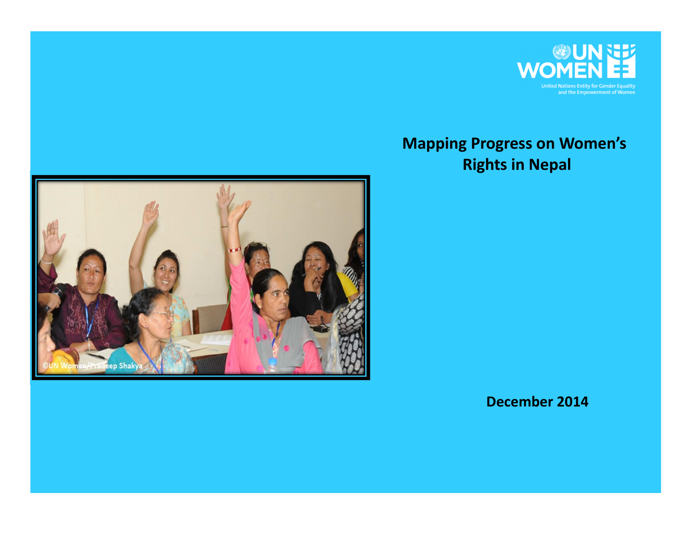

## **Mapping Progress on Women's Rights in Nepal**



 **December 2014**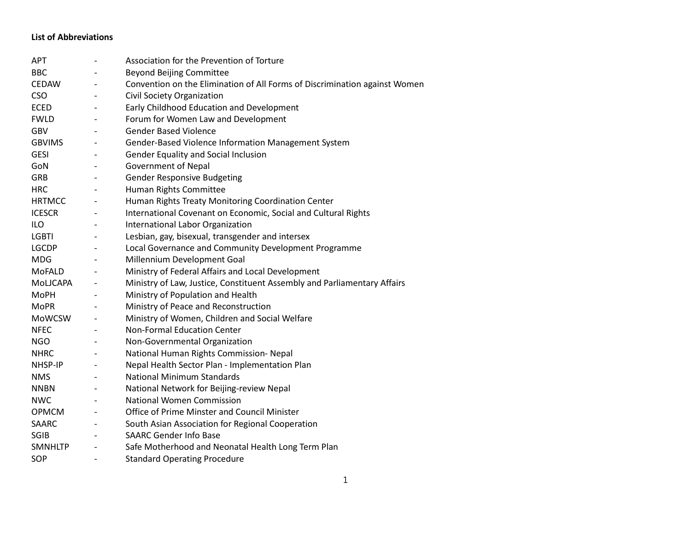## **List of Abbreviations**

| APT            |                          | Association for the Prevention of Torture                                  |
|----------------|--------------------------|----------------------------------------------------------------------------|
| <b>BBC</b>     |                          | <b>Beyond Beijing Committee</b>                                            |
| CEDAW          | $\overline{\phantom{a}}$ | Convention on the Elimination of All Forms of Discrimination against Women |
| <b>CSO</b>     | $\overline{\phantom{a}}$ | Civil Society Organization                                                 |
| <b>ECED</b>    | $\overline{\phantom{a}}$ | Early Childhood Education and Development                                  |
| <b>FWLD</b>    | $\overline{\phantom{a}}$ | Forum for Women Law and Development                                        |
| <b>GBV</b>     |                          | <b>Gender Based Violence</b>                                               |
| <b>GBVIMS</b>  | $\overline{\phantom{a}}$ | Gender-Based Violence Information Management System                        |
| <b>GESI</b>    | $\overline{\phantom{a}}$ | <b>Gender Equality and Social Inclusion</b>                                |
| GoN            | $\overline{\phantom{a}}$ | <b>Government of Nepal</b>                                                 |
| <b>GRB</b>     | $\overline{\phantom{a}}$ | <b>Gender Responsive Budgeting</b>                                         |
| <b>HRC</b>     |                          | Human Rights Committee                                                     |
| <b>HRTMCC</b>  | $\overline{\phantom{a}}$ | Human Rights Treaty Monitoring Coordination Center                         |
| <b>ICESCR</b>  | $\overline{\phantom{a}}$ | International Covenant on Economic, Social and Cultural Rights             |
| ILO            |                          | International Labor Organization                                           |
| LGBTI          |                          | Lesbian, gay, bisexual, transgender and intersex                           |
| LGCDP          | $\overline{\phantom{a}}$ | Local Governance and Community Development Programme                       |
| <b>MDG</b>     | $\overline{\phantom{a}}$ | Millennium Development Goal                                                |
| MoFALD         |                          | Ministry of Federal Affairs and Local Development                          |
| MoLJCAPA       | $\overline{\phantom{a}}$ | Ministry of Law, Justice, Constituent Assembly and Parliamentary Affairs   |
| <b>MoPH</b>    | $\overline{\phantom{a}}$ | Ministry of Population and Health                                          |
| <b>MoPR</b>    |                          | Ministry of Peace and Reconstruction                                       |
| MoWCSW         | $\overline{\phantom{a}}$ | Ministry of Women, Children and Social Welfare                             |
| <b>NFEC</b>    |                          | <b>Non-Formal Education Center</b>                                         |
| <b>NGO</b>     | $\overline{\phantom{a}}$ | Non-Governmental Organization                                              |
| <b>NHRC</b>    | $\overline{\phantom{a}}$ | National Human Rights Commission- Nepal                                    |
| NHSP-IP        | $\overline{\phantom{a}}$ | Nepal Health Sector Plan - Implementation Plan                             |
| <b>NMS</b>     | $\overline{\phantom{a}}$ | <b>National Minimum Standards</b>                                          |
| <b>NNBN</b>    | $\overline{\phantom{a}}$ | National Network for Beijing-review Nepal                                  |
| <b>NWC</b>     |                          | <b>National Women Commission</b>                                           |
| OPMCM          | $\overline{\phantom{0}}$ | Office of Prime Minster and Council Minister                               |
| <b>SAARC</b>   | $\overline{\phantom{a}}$ | South Asian Association for Regional Cooperation                           |
| <b>SGIB</b>    |                          | <b>SAARC Gender Info Base</b>                                              |
| <b>SMNHLTP</b> | $\overline{\phantom{a}}$ | Safe Motherhood and Neonatal Health Long Term Plan                         |
| SOP            | $\overline{\phantom{a}}$ | <b>Standard Operating Procedure</b>                                        |
|                |                          |                                                                            |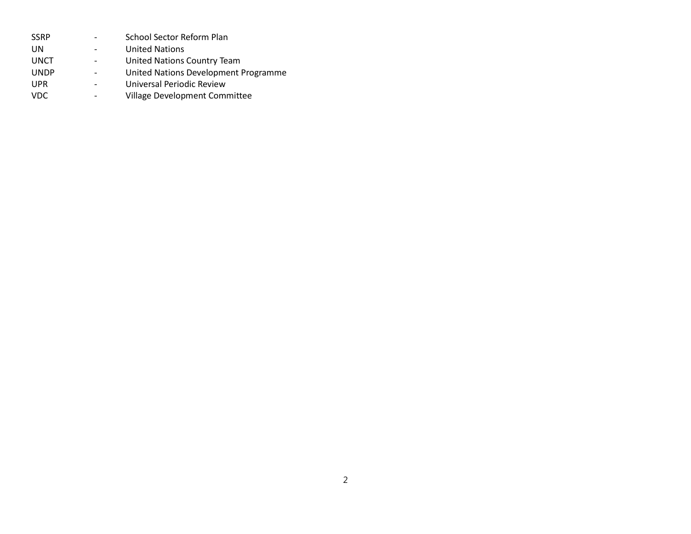| SSRP        | School Sector Reform Plan            |
|-------------|--------------------------------------|
| UN          | <b>United Nations</b>                |
| UNCT        | United Nations Country Team          |
| <b>UNDP</b> | United Nations Development Programme |
| UPR         | Universal Periodic Review            |
| VDC.        | Village Development Committee        |
|             |                                      |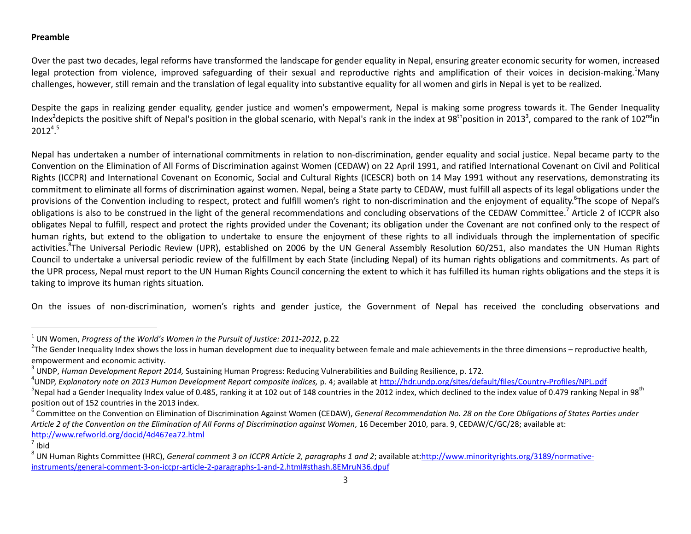## **Preamble**

Over the past two decades, legal reforms have transformed the landscape for gender equality in Nepal, ensuring greater economic security for women, increased legal protection from violence, improved safeguarding of their sexual and reproductive rights and amplification of their voices in decision-making.<sup>1</sup>Many challenges, however, still remain and the translation of legal equality into substantive equality for all women and girls in Nepal is yet to be realized.

Despite the gaps in realizing gender equality, gender justice and women's empowerment, Nepal is making some progress towards it. The Gender Inequality Index<sup>2</sup>depicts the positive shift of Nepal's position in the global scenario, with Nepal's rank in the index at 98<sup>th</sup>position in 2013<sup>3</sup>, compared to the rank of 102<sup>nd</sup>in  $2012^{4.5}$ 

Nepal has undertaken a number of international commitments in relation to non-discrimination, gender equality and social justice. Nepal became party to the Convention on the Elimination of All Forms of Discrimination against Women (CEDAW) on 22 April 1991, and ratified International Covenant on Civil and Political Rights (ICCPR) and International Covenant on Economic, Social and Cultural Rights (ICESCR) both on 14 May 1991 without any reservations, demonstrating its commitment to eliminate all forms of discrimination against women. Nepal, being a State party to CEDAW, must fulfill all aspects of its legal obligations under the provisions of the Convention including to respect, protect and fulfill women's right to non-discrimination and the enjoyment of equality.<sup>6</sup>The scope of Nepal's obligations is also to be construed in the light of the general recommendations and concluding observations of the CEDAW Committee.<sup>7</sup> Article 2 of ICCPR also obligates Nepal to fulfill, respect and protect the rights provided under the Covenant; its obligation under the Covenant are not confined only to the respect of human rights, but extend to the obligation to undertake to ensure the enjoyment of these rights to all individuals through the implementation of specific activities.<sup>8</sup>The Universal Periodic Review (UPR), established on 2006 by the UN General Assembly Resolution 60/251, also mandates the UN Human Rights Council to undertake a universal periodic review of the fulfillment by each State (including Nepal) of its human rights obligations and commitments. As part of the UPR process, Nepal must report to the UN Human Rights Council concerning the extent to which it has fulfilled its human rights obligations and the steps it is taking to improve its human rights situation.

On the issues of non-discrimination, women's rights and gender justice, the Government of Nepal has received the concluding observations and

 $<sup>7</sup>$  Ibid</sup>

1

<sup>&</sup>lt;sup>1</sup> UN Women, *Progress of the World's Women in the Pursuit of Justice: 2011-2012,* p.22<br><sup>2</sup>The Conder Inequality Indox shows the loss in human dovelopment due to inequality h

 $^{2}$ The Gender Inequality Index shows the loss in human development due to inequality between female and male achievements in the three dimensions – reproductive health, empowerment and economic activity.

<sup>&</sup>lt;sup>3</sup> UNDP, *Human Development Report 2014*, Sustaining Human Progress: Reducing Vulnerabilities and Building Resilience, p. 172.<br><sup>4</sup>UNDP *Evelopatory note on 2013 Uuman Development Benert compesite indices, p. 4: available* 

<sup>&</sup>lt;sup>4</sup>UNDP, *Explanatory note on 2013 Human Development Report composite indices, p. 4; available at http://hdr.undp.org/sites/default/files/Country-Profiles/NPL.pdf* 

<sup>&</sup>lt;sup>5</sup>Nepal had a Gender Inequality Index value of 0.485, ranking it at 102 out of 148 countries in the 2012 index, which declined to the index value of 0.479 ranking Nepal in 98<sup>th</sup> position out of 152 countries in the 2013 index.

<sup>&</sup>lt;sup>6</sup> Committee on the Convention on Elimination of Discrimination Against Women (CEDAW), *General Recommendation No. 28 on the Core Obligations of States Parties under Article 2 of the Convention on the Elimination of All Forms of Discrimination against Women*, 16 December 2010, para. 9, CEDAW/C/GC/28; available at: http://www.refworld.org/docid/4d467ea72.html 7

<sup>&</sup>lt;sup>8</sup> UN Human Rights Committee (HRC), *General comment 3 on ICCPR Article 2, paragraphs 1 and 2*; available at:<u>http://www.minorityrights.org/3189/normative-</u> instruments/general-comment-3-on-iccpr-article-2-paragraphs-1-and-2.html#sthash.8EMruN36.dpuf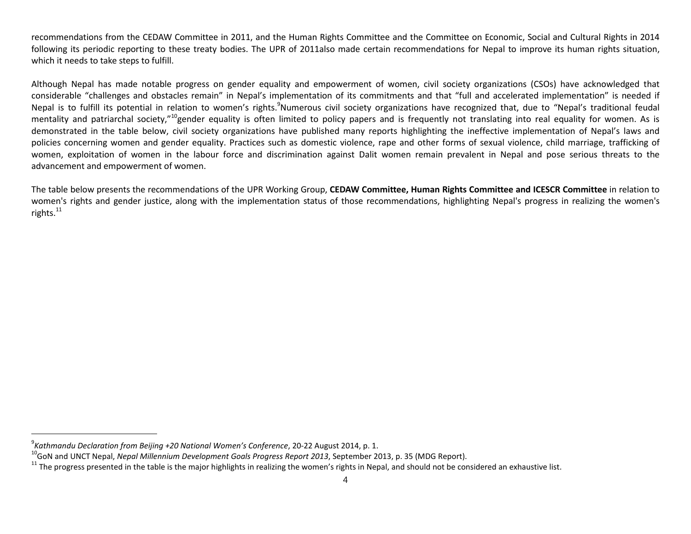recommendations from the CEDAW Committee in 2011, and the Human Rights Committee and the Committee on Economic, Social and Cultural Rights in 2014 following its periodic reporting to these treaty bodies. The UPR of 2011also made certain recommendations for Nepal to improve its human rights situation, which it needs to take steps to fulfill.

Although Nepal has made notable progress on gender equality and empowerment of women, civil society organizations (CSOs) have acknowledged that considerable "challenges and obstacles remain" in Nepal's implementation of its commitments and that "full and accelerated implementation" is needed if Nepal is to fulfill its potential in relation to women's rights.<sup>9</sup>Numerous civil society organizations have recognized that, due to "Nepal's traditional feudal mentality and patriarchal society,"<sup>10</sup>gender equality is often limited to policy papers and is frequently not translating into real equality for women. As is demonstrated in the table below, civil society organizations have published many reports highlighting the ineffective implementation of Nepal's laws and policies concerning women and gender equality. Practices such as domestic violence, rape and other forms of sexual violence, child marriage, trafficking of women, exploitation of women in the labour force and discrimination against Dalit women remain prevalent in Nepal and pose serious threats to the advancement and empowerment of women.

The table below presents the recommendations of the UPR Working Group, **CEDAW Committee, Human Rights Committee and ICESCR Committee** in relation to women's rights and gender justice, along with the implementation status of those recommendations, highlighting Nepal's progress in realizing the women's rights. $^{11}$ 

1

 $\degree$ Kathmandu Declaration from Beijing +20 National Women's Conference, 20-22 August 2014, p. 1.

 $^{10}$ GoN and UNCT Nepal, Nepal Millennium Development Goals Progress Report 2013, September 2013, p. 35 (MDG Report).<br><sup>11</sup> The progress presented in the table is the major highlights in realizing the women's rights in Ne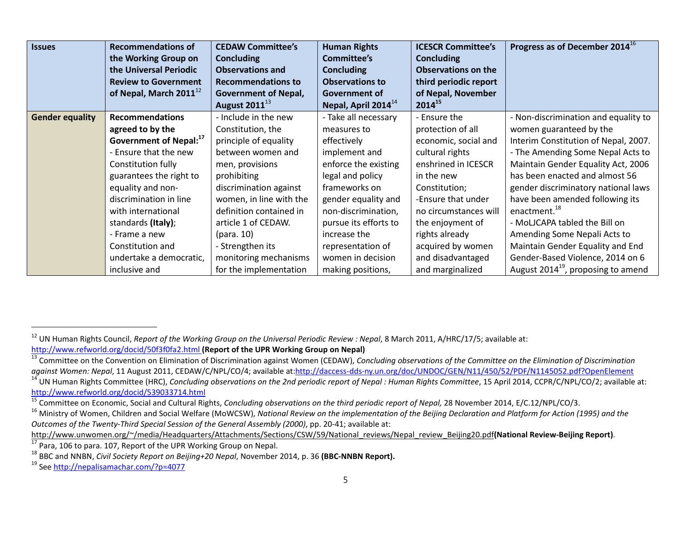| <b>Issues</b>          | <b>Recommendations of</b><br>the Working Group on | <b>CEDAW Committee's</b><br><b>Concluding</b> | <b>Human Rights</b><br><b>Committee's</b> | <b>ICESCR Committee's</b><br><b>Concluding</b> | Progress as of December 2014 <sup>16</sup> |
|------------------------|---------------------------------------------------|-----------------------------------------------|-------------------------------------------|------------------------------------------------|--------------------------------------------|
|                        | the Universal Periodic                            | <b>Observations and</b>                       | <b>Concluding</b>                         | <b>Observations on the</b>                     |                                            |
|                        | <b>Review to Government</b>                       | <b>Recommendations to</b>                     | <b>Observations to</b>                    | third periodic report                          |                                            |
|                        | of Nepal, March $2011^{12}$                       | <b>Government of Nepal,</b>                   | Government of                             | of Nepal, November                             |                                            |
|                        |                                                   | <b>August 2011</b> <sup>13</sup>              | Nepal, April 2014 $^{14}$                 | $2014^{15}$                                    |                                            |
| <b>Gender equality</b> | <b>Recommendations</b>                            | - Include in the new                          | - Take all necessary                      | - Ensure the                                   | - Non-discrimination and equality to       |
|                        | agreed to by the                                  | Constitution, the                             | measures to                               | protection of all                              | women guaranteed by the                    |
|                        | Government of Nepal: <sup>17</sup>                | principle of equality                         | effectively                               | economic, social and                           | Interim Constitution of Nepal, 2007.       |
|                        | - Ensure that the new                             | between women and                             | implement and                             | cultural rights                                | - The Amending Some Nepal Acts to          |
|                        | Constitution fully                                | men, provisions                               | enforce the existing                      | enshrined in ICESCR                            | Maintain Gender Equality Act, 2006         |
|                        | guarantees the right to                           | prohibiting                                   | legal and policy                          | in the new                                     | has been enacted and almost 56             |
|                        | equality and non-                                 | discrimination against                        | frameworks on                             | Constitution;                                  | gender discriminatory national laws        |
|                        | discrimination in line                            | women, in line with the                       | gender equality and                       | -Ensure that under                             | have been amended following its            |
|                        | with international                                | definition contained in                       | non-discrimination,                       | no circumstances will                          | enactment. <sup>18</sup>                   |
|                        | standards (Italy);                                | article 1 of CEDAW.                           | pursue its efforts to                     | the enjoyment of                               | - MoLJCAPA tabled the Bill on              |
|                        | - Frame a new                                     | (para. 10)                                    | increase the                              | rights already                                 | Amending Some Nepali Acts to               |
|                        | Constitution and                                  | - Strengthen its                              | representation of                         | acquired by women                              | Maintain Gender Equality and End           |
|                        | undertake a democratic,                           | monitoring mechanisms                         | women in decision                         | and disadvantaged                              | Gender-Based Violence, 2014 on 6           |
|                        | inclusive and                                     | for the implementation                        | making positions,                         | and marginalized                               | August $2014^{19}$ , proposing to amend    |

<sup>&</sup>lt;sup>12</sup> UN Human Rights Council, *Report of the Working Group on the Universal Periodic Review : Nepal*, 8 March 2011, A/HRC/17/5; available at:<br>http://www.refworld.org/docid/50f3f0fa2.html (Report of the UPR Working Group on

<sup>&</sup>lt;sup>13</sup> Committee on the Convention on Elimination of Discrimination against Women (CEDAW), Concluding observations of the Committee on the Elimination of Discrimination<br>against Women: Nepal, 11 August 2011, CEDAW/C/NPL/CO/4;

<sup>&</sup>lt;sup>14</sup> UN Human Rights Committee (HRC), *Concluding observations on the 2nd periodic report of Nepal : Human Rights Committee, 15 April 2014, CCPR/C/NPL/CO/2; available at:<br>http://www.refworld.org/docid/539033714.html* 

<sup>&</sup>lt;sup>15</sup> Committee on Economic, Social and Cultural Rights, Concluding observations on the third periodic report of Nepal, 28 November 2014, E/C.12/NPL/CO/3.<br><sup>16</sup> Ministry of Women, Children and Social Welfare (MoWCSW), Nation

*Outcomes of the Twenty-Third Special Session of the General Assembly (2000)*, pp. 20-41; available at:

http://www.unwomen.org/~/media/Headquarters/Attachments/Sections/CSW/59/National reviews/Nepal review Beijing20.pdf(National Review-Beijing Report).<br><sup>17</sup> Para, 106 to para. 107, Report of the UPR Working Group on Nepal.<br><sup></sup>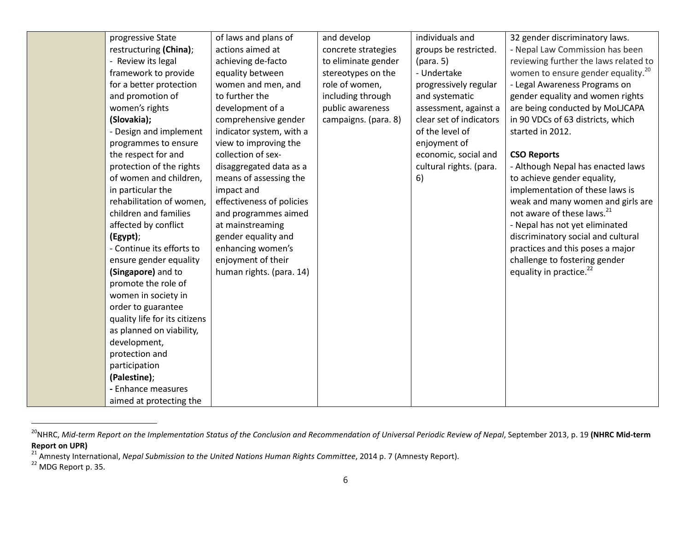| progressive State             | of laws and plans of      | and develop          | individuals and         | 32 gender discriminatory laws.                 |
|-------------------------------|---------------------------|----------------------|-------------------------|------------------------------------------------|
| restructuring (China);        | actions aimed at          | concrete strategies  | groups be restricted.   | - Nepal Law Commission has been                |
| - Review its legal            | achieving de-facto        | to eliminate gender  | (para. 5)               | reviewing further the laws related to          |
| framework to provide          | equality between          | stereotypes on the   | - Undertake             | women to ensure gender equality. <sup>20</sup> |
| for a better protection       | women and men, and        | role of women,       | progressively regular   | - Legal Awareness Programs on                  |
| and promotion of              | to further the            | including through    | and systematic          | gender equality and women rights               |
| women's rights                | development of a          | public awareness     | assessment, against a   | are being conducted by MoLJCAPA                |
| (Slovakia);                   | comprehensive gender      | campaigns. (para. 8) | clear set of indicators | in 90 VDCs of 63 districts, which              |
| - Design and implement        | indicator system, with a  |                      | of the level of         | started in 2012.                               |
| programmes to ensure          | view to improving the     |                      | enjoyment of            |                                                |
| the respect for and           | collection of sex-        |                      | economic, social and    | <b>CSO Reports</b>                             |
| protection of the rights      | disaggregated data as a   |                      | cultural rights. (para. | - Although Nepal has enacted laws              |
| of women and children,        | means of assessing the    |                      | 6)                      | to achieve gender equality,                    |
| in particular the             | impact and                |                      |                         | implementation of these laws is                |
| rehabilitation of women,      | effectiveness of policies |                      |                         | weak and many women and girls are              |
| children and families         | and programmes aimed      |                      |                         | not aware of these laws. <sup>21</sup>         |
| affected by conflict          | at mainstreaming          |                      |                         | - Nepal has not yet eliminated                 |
| (Egypt);                      | gender equality and       |                      |                         | discriminatory social and cultural             |
| - Continue its efforts to     | enhancing women's         |                      |                         | practices and this poses a major               |
| ensure gender equality        | enjoyment of their        |                      |                         | challenge to fostering gender                  |
| (Singapore) and to            | human rights. (para. 14)  |                      |                         | equality in practice. <sup>22</sup>            |
| promote the role of           |                           |                      |                         |                                                |
| women in society in           |                           |                      |                         |                                                |
| order to guarantee            |                           |                      |                         |                                                |
| quality life for its citizens |                           |                      |                         |                                                |
| as planned on viability,      |                           |                      |                         |                                                |
| development,                  |                           |                      |                         |                                                |
| protection and                |                           |                      |                         |                                                |
| participation                 |                           |                      |                         |                                                |
| (Palestine);                  |                           |                      |                         |                                                |
| - Enhance measures            |                           |                      |                         |                                                |
| aimed at protecting the       |                           |                      |                         |                                                |

<sup>&</sup>lt;sup>20</sup>NHRC, Mid-term Report on the Implementation Status of the Conclusion and Recommendation of Universal Periodic Review of Nepal, September 2013, p. 19 (NHRC Mid-term **Report on UPR)**

<sup>&</sup>lt;sup>21</sup> Amnesty International, *Nepal Submission to the United Nations Human Rights Committee,* 2014 p. 7 (Amnesty Report).<br><sup>22</sup> MDG Report p. 35.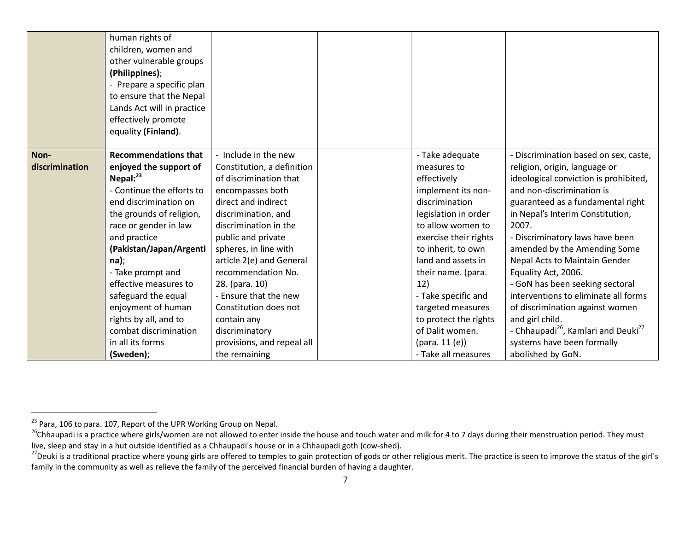|                | human rights of             |                            |                       |                                                             |
|----------------|-----------------------------|----------------------------|-----------------------|-------------------------------------------------------------|
|                | children, women and         |                            |                       |                                                             |
|                | other vulnerable groups     |                            |                       |                                                             |
|                | (Philippines);              |                            |                       |                                                             |
|                | - Prepare a specific plan   |                            |                       |                                                             |
|                | to ensure that the Nepal    |                            |                       |                                                             |
|                | Lands Act will in practice  |                            |                       |                                                             |
|                | effectively promote         |                            |                       |                                                             |
|                | equality (Finland).         |                            |                       |                                                             |
|                |                             |                            |                       |                                                             |
| Non-           | <b>Recommendations that</b> | - Include in the new       | - Take adequate       | Discrimination based on sex, caste,                         |
| discrimination | enjoyed the support of      | Constitution, a definition | measures to           | religion, origin, language or                               |
|                | Nepal: $^{23}$              | of discrimination that     | effectively           | ideological conviction is prohibited,                       |
|                | - Continue the efforts to   | encompasses both           | implement its non-    | and non-discrimination is                                   |
|                | end discrimination on       | direct and indirect        | discrimination        | guaranteed as a fundamental right                           |
|                | the grounds of religion,    | discrimination, and        | legislation in order  | in Nepal's Interim Constitution,                            |
|                | race or gender in law       | discrimination in the      | to allow women to     | 2007.                                                       |
|                | and practice                | public and private         | exercise their rights | - Discriminatory laws have been                             |
|                | (Pakistan/Japan/Argenti     | spheres, in line with      | to inherit, to own    | amended by the Amending Some                                |
|                | na);                        | article 2(e) and General   | land and assets in    | Nepal Acts to Maintain Gender                               |
|                | - Take prompt and           | recommendation No.         | their name. (para.    | Equality Act, 2006.                                         |
|                | effective measures to       | 28. (para. 10)             | 12)                   | - GoN has been seeking sectoral                             |
|                | safeguard the equal         | - Ensure that the new      | - Take specific and   | interventions to eliminate all forms                        |
|                | enjoyment of human          | Constitution does not      | targeted measures     | of discrimination against women                             |
|                | rights by all, and to       | contain any                | to protect the rights | and girl child.                                             |
|                | combat discrimination       | discriminatory             | of Dalit women.       | - Chhaupadi <sup>26</sup> , Kamlari and Deuki <sup>27</sup> |
|                | in all its forms            | provisions, and repeal all | (para. 11 (e))        | systems have been formally                                  |
|                | (Sweden);                   | the remaining              | - Take all measures   | abolished by GoN.                                           |

<sup>&</sup>lt;sup>23</sup> Para, 106 to para. 107, Report of the UPR Working Group on Nepal.<br><sup>26</sup>Chhaupadi is a practice where girls/women are not allowed to enter inside the house and touch water and milk for 4 to 7 days during their menstruat

<sup>&</sup>lt;sup>27</sup> Deuki is a traditional practice where young girls are offered to temples to gain protection of gods or other religious merit. The practice is seen to improve the status of the girl's family in the community as well as relieve the family of the perceived financial burden of having a daughter.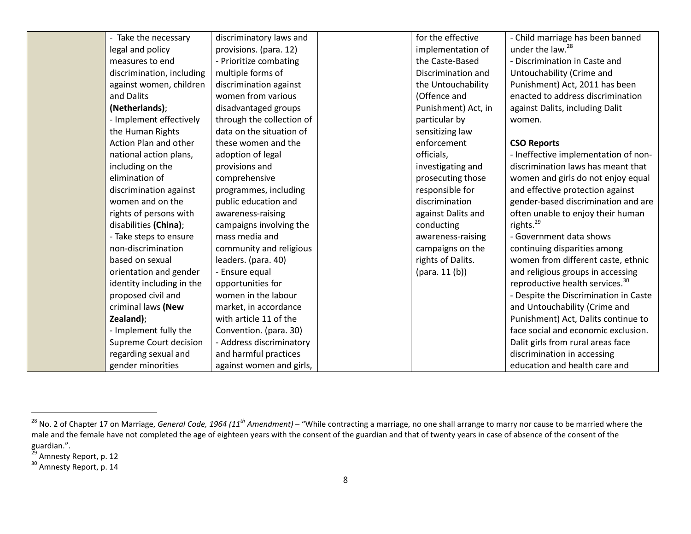| - Take the necessary      | discriminatory laws and   | for the effective   | - Child marriage has been banned            |
|---------------------------|---------------------------|---------------------|---------------------------------------------|
| legal and policy          | provisions. (para. 12)    | implementation of   | under the law. <sup>28</sup>                |
| measures to end           | - Prioritize combating    | the Caste-Based     | - Discrimination in Caste and               |
| discrimination, including | multiple forms of         | Discrimination and  | Untouchability (Crime and                   |
| against women, children   | discrimination against    | the Untouchability  | Punishment) Act, 2011 has been              |
| and Dalits                | women from various        | (Offence and        | enacted to address discrimination           |
| (Netherlands);            | disadvantaged groups      | Punishment) Act, in | against Dalits, including Dalit             |
| - Implement effectively   | through the collection of | particular by       | women.                                      |
| the Human Rights          | data on the situation of  | sensitizing law     |                                             |
| Action Plan and other     | these women and the       | enforcement         | <b>CSO Reports</b>                          |
| national action plans,    | adoption of legal         | officials,          | - Ineffective implementation of non-        |
| including on the          | provisions and            | investigating and   | discrimination laws has meant that          |
| elimination of            | comprehensive             | prosecuting those   | women and girls do not enjoy equal          |
| discrimination against    | programmes, including     | responsible for     | and effective protection against            |
| women and on the          | public education and      | discrimination      | gender-based discrimination and are         |
| rights of persons with    | awareness-raising         | against Dalits and  | often unable to enjoy their human           |
| disabilities (China);     | campaigns involving the   | conducting          | rights. <sup>29</sup>                       |
| - Take steps to ensure    | mass media and            | awareness-raising   | - Government data shows                     |
| non-discrimination        | community and religious   | campaigns on the    | continuing disparities among                |
| based on sexual           | leaders. (para. 40)       | rights of Dalits.   | women from different caste, ethnic          |
| orientation and gender    | - Ensure equal            | (para. 11(b))       | and religious groups in accessing           |
| identity including in the | opportunities for         |                     | reproductive health services. <sup>30</sup> |
| proposed civil and        | women in the labour       |                     | - Despite the Discrimination in Caste       |
| criminal laws (New        | market, in accordance     |                     | and Untouchability (Crime and               |
| Zealand);                 | with article 11 of the    |                     | Punishment) Act, Dalits continue to         |
| - Implement fully the     | Convention. (para. 30)    |                     | face social and economic exclusion.         |
| Supreme Court decision    | - Address discriminatory  |                     | Dalit girls from rural areas face           |
| regarding sexual and      | and harmful practices     |                     | discrimination in accessing                 |
| gender minorities         | against women and girls,  |                     | education and health care and               |

<sup>&</sup>lt;sup>28</sup> No. 2 of Chapter 17 on Marriage, *General Code, 1964 (11<sup>th</sup> Amendment)* – "While contracting a marriage, no one shall arrange to marry nor cause to be married where the male and the female have not completed the age of eighteen years with the consent of the guardian and that of twenty years in case of absence of the consent of the guardian.".

<sup>&</sup>lt;sup>29</sup> Amnesty Report, p. 12

<sup>&</sup>lt;sup>30</sup> Amnesty Report, p. 14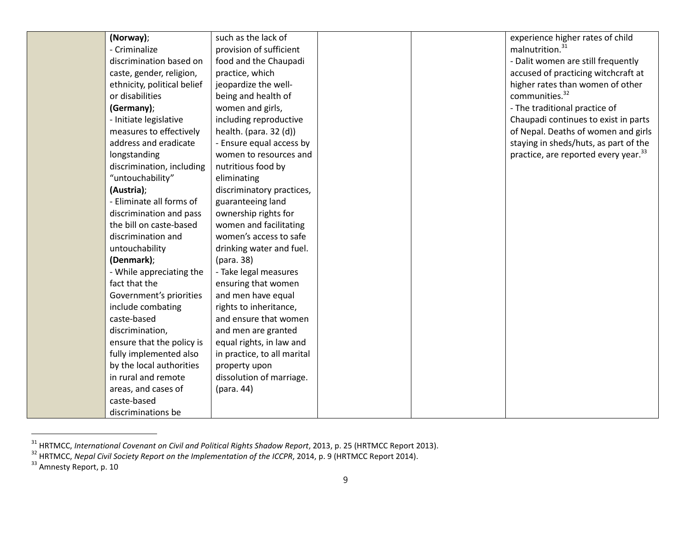| (Norway);                   | such as the lack of         |  | experience higher rates of child                 |
|-----------------------------|-----------------------------|--|--------------------------------------------------|
| - Criminalize               | provision of sufficient     |  | malnutrition. <sup>31</sup>                      |
| discrimination based on     | food and the Chaupadi       |  | - Dalit women are still frequently               |
| caste, gender, religion,    | practice, which             |  | accused of practicing witchcraft at              |
| ethnicity, political belief | jeopardize the well-        |  | higher rates than women of other                 |
| or disabilities             | being and health of         |  | communities. <sup>32</sup>                       |
| (Germany);                  | women and girls,            |  | - The traditional practice of                    |
| - Initiate legislative      | including reproductive      |  | Chaupadi continues to exist in parts             |
| measures to effectively     | health. (para. 32 (d))      |  | of Nepal. Deaths of women and girls              |
| address and eradicate       | - Ensure equal access by    |  | staying in sheds/huts, as part of the            |
| longstanding                | women to resources and      |  | practice, are reported every year. <sup>33</sup> |
| discrimination, including   | nutritious food by          |  |                                                  |
| "untouchability"            | eliminating                 |  |                                                  |
| (Austria);                  | discriminatory practices,   |  |                                                  |
| - Eliminate all forms of    | guaranteeing land           |  |                                                  |
| discrimination and pass     | ownership rights for        |  |                                                  |
| the bill on caste-based     | women and facilitating      |  |                                                  |
| discrimination and          | women's access to safe      |  |                                                  |
| untouchability              | drinking water and fuel.    |  |                                                  |
| (Denmark);                  | (para. 38)                  |  |                                                  |
| - While appreciating the    | - Take legal measures       |  |                                                  |
| fact that the               | ensuring that women         |  |                                                  |
| Government's priorities     | and men have equal          |  |                                                  |
| include combating           | rights to inheritance,      |  |                                                  |
| caste-based                 | and ensure that women       |  |                                                  |
| discrimination,             | and men are granted         |  |                                                  |
| ensure that the policy is   | equal rights, in law and    |  |                                                  |
| fully implemented also      | in practice, to all marital |  |                                                  |
| by the local authorities    | property upon               |  |                                                  |
| in rural and remote         | dissolution of marriage.    |  |                                                  |
| areas, and cases of         | (para. 44)                  |  |                                                  |
| caste-based                 |                             |  |                                                  |
| discriminations be          |                             |  |                                                  |

<sup>&</sup>lt;sup>31</sup> HRTMCC, International Covenant on Civil and Political Rights Shadow Report, 2013, p. 25 (HRTMCC Report 2013).<br><sup>32</sup> HRTMCC, Nepal Civil Society Report on the Implementation of the ICCPR, 2014, p. 9 (HRTMCC Report 2014)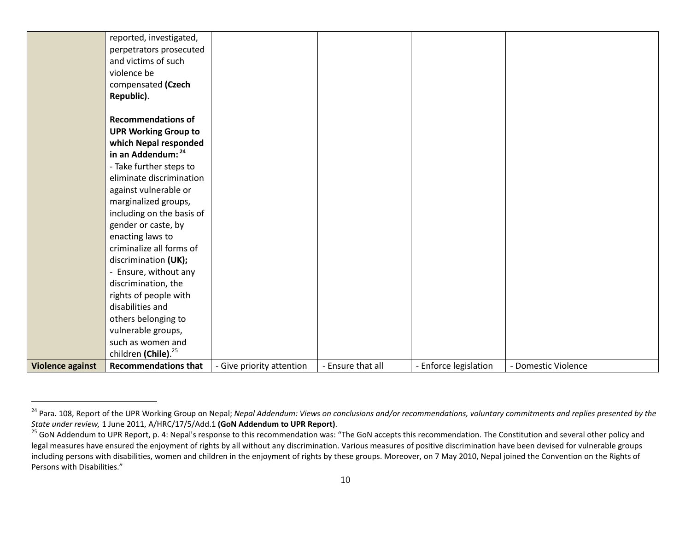| <b>Violence against</b> | <b>Recommendations that</b>     | - Give priority attention | - Ensure that all | - Enforce legislation | - Domestic Violence |
|-------------------------|---------------------------------|---------------------------|-------------------|-----------------------|---------------------|
|                         | children (Chile). <sup>25</sup> |                           |                   |                       |                     |
|                         | such as women and               |                           |                   |                       |                     |
|                         | vulnerable groups,              |                           |                   |                       |                     |
|                         | others belonging to             |                           |                   |                       |                     |
|                         | disabilities and                |                           |                   |                       |                     |
|                         | rights of people with           |                           |                   |                       |                     |
|                         | discrimination, the             |                           |                   |                       |                     |
|                         | - Ensure, without any           |                           |                   |                       |                     |
|                         | discrimination (UK);            |                           |                   |                       |                     |
|                         | criminalize all forms of        |                           |                   |                       |                     |
|                         | enacting laws to                |                           |                   |                       |                     |
|                         | gender or caste, by             |                           |                   |                       |                     |
|                         | including on the basis of       |                           |                   |                       |                     |
|                         | marginalized groups,            |                           |                   |                       |                     |
|                         | against vulnerable or           |                           |                   |                       |                     |
|                         | eliminate discrimination        |                           |                   |                       |                     |
|                         | - Take further steps to         |                           |                   |                       |                     |
|                         | in an Addendum: 24              |                           |                   |                       |                     |
|                         | which Nepal responded           |                           |                   |                       |                     |
|                         | <b>UPR Working Group to</b>     |                           |                   |                       |                     |
|                         | <b>Recommendations of</b>       |                           |                   |                       |                     |
|                         | Republic).                      |                           |                   |                       |                     |
|                         | compensated (Czech              |                           |                   |                       |                     |
|                         | violence be                     |                           |                   |                       |                     |
|                         | and victims of such             |                           |                   |                       |                     |
|                         | perpetrators prosecuted         |                           |                   |                       |                     |
|                         | reported, investigated,         |                           |                   |                       |                     |
|                         |                                 |                           |                   |                       |                     |

<sup>&</sup>lt;sup>24</sup> Para. 108, Report of the UPR Working Group on Nepal; *Nepal Addendum: Views on conclusions and/or recommendations, voluntary commitments and replies presented by the<br>State under review, 1 June 2011, A/HRC/17/5/Add.1 (* 

<sup>&</sup>lt;sup>25</sup> GoN Addendum to UPR Report, p. 4: Nepal's response to this recommendation was: "The GoN accepts this recommendation. The Constitution and several other policy and legal measures have ensured the enjoyment of rights by all without any discrimination. Various measures of positive discrimination have been devised for vulnerable groups including persons with disabilities, women and children in the enjoyment of rights by these groups. Moreover, on 7 May 2010, Nepal joined the Convention on the Rights of Persons with Disabilities."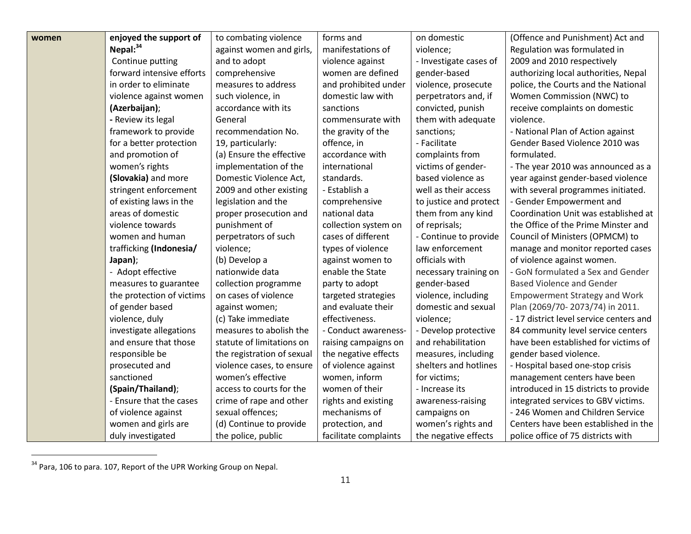| women | enjoyed the support of    | to combating violence      | forms and             | on domestic            | (Offence and Punishment) Act and        |
|-------|---------------------------|----------------------------|-----------------------|------------------------|-----------------------------------------|
|       | Nepal: $34$               | against women and girls,   | manifestations of     | violence;              | Regulation was formulated in            |
|       | Continue putting          | and to adopt               | violence against      | - Investigate cases of | 2009 and 2010 respectively              |
|       | forward intensive efforts | comprehensive              | women are defined     | gender-based           | authorizing local authorities, Nepal    |
|       | in order to eliminate     | measures to address        | and prohibited under  | violence, prosecute    | police, the Courts and the National     |
|       | violence against women    | such violence, in          | domestic law with     | perpetrators and, if   | Women Commission (NWC) to               |
|       | (Azerbaijan);             | accordance with its        | sanctions             | convicted, punish      | receive complaints on domestic          |
|       | - Review its legal        | General                    | commensurate with     | them with adequate     | violence.                               |
|       | framework to provide      | recommendation No.         | the gravity of the    | sanctions;             | - National Plan of Action against       |
|       | for a better protection   | 19, particularly:          | offence, in           | - Facilitate           | Gender Based Violence 2010 was          |
|       | and promotion of          | (a) Ensure the effective   | accordance with       | complaints from        | formulated.                             |
|       | women's rights            | implementation of the      | international         | victims of gender-     | - The year 2010 was announced as a      |
|       | (Slovakia) and more       | Domestic Violence Act,     | standards.            | based violence as      | year against gender-based violence      |
|       | stringent enforcement     | 2009 and other existing    | - Establish a         | well as their access   | with several programmes initiated.      |
|       | of existing laws in the   | legislation and the        | comprehensive         | to justice and protect | - Gender Empowerment and                |
|       | areas of domestic         | proper prosecution and     | national data         | them from any kind     | Coordination Unit was established at    |
|       | violence towards          | punishment of              | collection system on  | of reprisals;          | the Office of the Prime Minster and     |
|       | women and human           | perpetrators of such       | cases of different    | - Continue to provide  | Council of Ministers (OPMCM) to         |
|       | trafficking (Indonesia/   | violence;                  | types of violence     | law enforcement        | manage and monitor reported cases       |
|       | Japan);                   | (b) Develop a              | against women to      | officials with         | of violence against women.              |
|       | - Adopt effective         | nationwide data            | enable the State      | necessary training on  | - GoN formulated a Sex and Gender       |
|       | measures to guarantee     | collection programme       | party to adopt        | gender-based           | <b>Based Violence and Gender</b>        |
|       | the protection of victims | on cases of violence       | targeted strategies   | violence, including    | <b>Empowerment Strategy and Work</b>    |
|       | of gender based           | against women;             | and evaluate their    | domestic and sexual    | Plan (2069/70-2073/74) in 2011.         |
|       | violence, duly            | (c) Take immediate         | effectiveness.        | violence;              | - 17 district level service centers and |
|       | investigate allegations   | measures to abolish the    | - Conduct awareness-  | - Develop protective   | 84 community level service centers      |
|       | and ensure that those     | statute of limitations on  | raising campaigns on  | and rehabilitation     | have been established for victims of    |
|       | responsible be            | the registration of sexual | the negative effects  | measures, including    | gender based violence.                  |
|       | prosecuted and            | violence cases, to ensure  | of violence against   | shelters and hotlines  | - Hospital based one-stop crisis        |
|       | sanctioned                | women's effective          | women, inform         | for victims;           | management centers have been            |
|       | (Spain/Thailand);         | access to courts for the   | women of their        | - Increase its         | introduced in 15 districts to provide   |
|       | - Ensure that the cases   | crime of rape and other    | rights and existing   | awareness-raising      | integrated services to GBV victims.     |
|       | of violence against       | sexual offences;           | mechanisms of         | campaigns on           | - 246 Women and Children Service        |
|       | women and girls are       | (d) Continue to provide    | protection, and       | women's rights and     | Centers have been established in the    |
|       | duly investigated         | the police, public         | facilitate complaints | the negative effects   | police office of 75 districts with      |

 $34$  Para, 106 to para. 107, Report of the UPR Working Group on Nepal.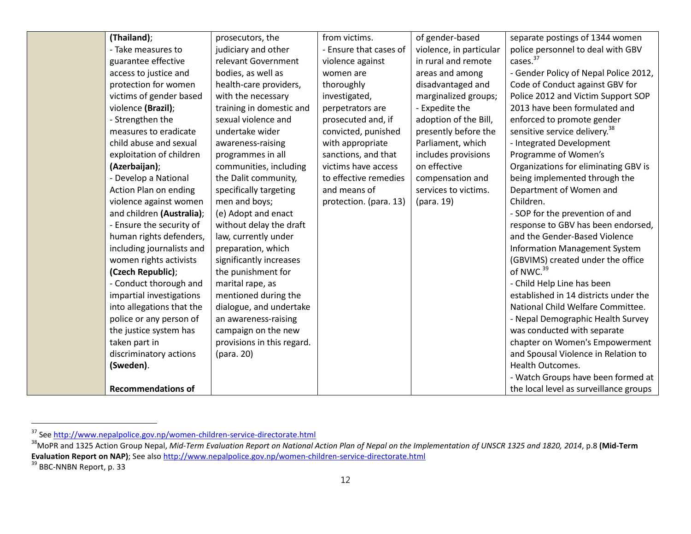| (Thailand);               | prosecutors, the           | from victims.          | of gender-based         | separate postings of 1344 women           |
|---------------------------|----------------------------|------------------------|-------------------------|-------------------------------------------|
| - Take measures to        | judiciary and other        | - Ensure that cases of | violence, in particular | police personnel to deal with GBV         |
| guarantee effective       | relevant Government        | violence against       | in rural and remote     | cases. <sup>37</sup>                      |
| access to justice and     | bodies, as well as         | women are              | areas and among         | - Gender Policy of Nepal Police 2012,     |
| protection for women      | health-care providers,     | thoroughly             | disadvantaged and       | Code of Conduct against GBV for           |
| victims of gender based   | with the necessary         | investigated,          | marginalized groups;    | Police 2012 and Victim Support SOP        |
| violence (Brazil);        | training in domestic and   | perpetrators are       | - Expedite the          | 2013 have been formulated and             |
| - Strengthen the          | sexual violence and        | prosecuted and, if     | adoption of the Bill,   | enforced to promote gender                |
| measures to eradicate     | undertake wider            | convicted, punished    | presently before the    | sensitive service delivery. <sup>38</sup> |
| child abuse and sexual    | awareness-raising          | with appropriate       | Parliament, which       | - Integrated Development                  |
| exploitation of children  | programmes in all          | sanctions, and that    | includes provisions     | Programme of Women's                      |
| (Azerbaijan);             | communities, including     | victims have access    | on effective            | Organizations for eliminating GBV is      |
| - Develop a National      | the Dalit community,       | to effective remedies  | compensation and        | being implemented through the             |
| Action Plan on ending     | specifically targeting     | and means of           | services to victims.    | Department of Women and                   |
| violence against women    | men and boys;              | protection. (para. 13) | (para. 19)              | Children.                                 |
| and children (Australia); | (e) Adopt and enact        |                        |                         | - SOP for the prevention of and           |
| - Ensure the security of  | without delay the draft    |                        |                         | response to GBV has been endorsed,        |
| human rights defenders,   | law, currently under       |                        |                         | and the Gender-Based Violence             |
| including journalists and | preparation, which         |                        |                         | <b>Information Management System</b>      |
| women rights activists    | significantly increases    |                        |                         | (GBVIMS) created under the office         |
| (Czech Republic);         | the punishment for         |                        |                         | of NWC. <sup>39</sup>                     |
| - Conduct thorough and    | marital rape, as           |                        |                         | - Child Help Line has been                |
| impartial investigations  | mentioned during the       |                        |                         | established in 14 districts under the     |
| into allegations that the | dialogue, and undertake    |                        |                         | National Child Welfare Committee.         |
| police or any person of   | an awareness-raising       |                        |                         | - Nepal Demographic Health Survey         |
| the justice system has    | campaign on the new        |                        |                         | was conducted with separate               |
| taken part in             | provisions in this regard. |                        |                         | chapter on Women's Empowerment            |
| discriminatory actions    | (para. 20)                 |                        |                         | and Spousal Violence in Relation to       |
| (Sweden).                 |                            |                        |                         | Health Outcomes.                          |
|                           |                            |                        |                         | - Watch Groups have been formed at        |
| <b>Recommendations of</b> |                            |                        |                         | the local level as surveillance groups    |

<sup>&</sup>lt;sup>37</sup> See http://www.nepalpolice.gov.np/women-children-service-directorate.html<br><sup>38</sup>MoPR and 1325 Action Group Nepal, *Mid-Term Evaluation Report on National Action Plan of Nepal on the Implementation of UNSCR 1325 and 1820* **Evaluation Report on NAP)**; See also http://www.nepalpolice.gov.np/women-children-service-directorate.html <sup>39</sup> BBC-NNBN Report, p. 33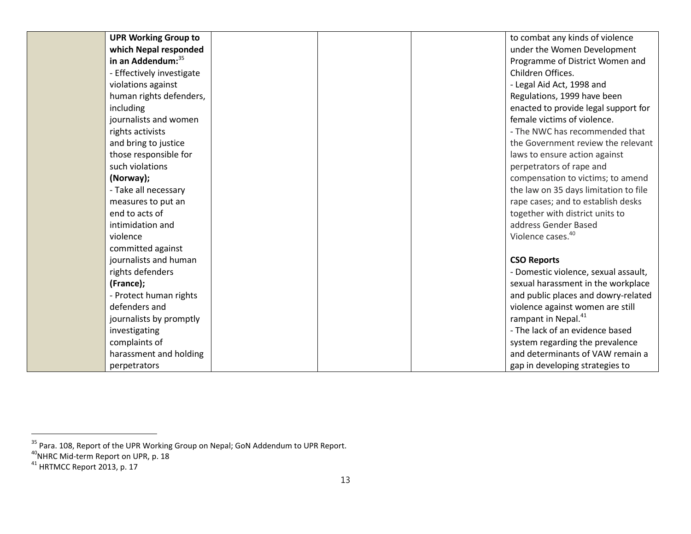| <b>UPR Working Group to</b> |  | to combat any kinds of violence       |
|-----------------------------|--|---------------------------------------|
| which Nepal responded       |  | under the Women Development           |
| in an Addendum: 35          |  | Programme of District Women and       |
| - Effectively investigate   |  | Children Offices.                     |
| violations against          |  | - Legal Aid Act, 1998 and             |
| human rights defenders,     |  | Regulations, 1999 have been           |
| including                   |  | enacted to provide legal support for  |
| journalists and women       |  | female victims of violence.           |
| rights activists            |  | - The NWC has recommended that        |
| and bring to justice        |  | the Government review the relevant    |
| those responsible for       |  | laws to ensure action against         |
| such violations             |  | perpetrators of rape and              |
| (Norway);                   |  | compensation to victims; to amend     |
| - Take all necessary        |  | the law on 35 days limitation to file |
| measures to put an          |  | rape cases; and to establish desks    |
| end to acts of              |  | together with district units to       |
| intimidation and            |  | address Gender Based                  |
| violence                    |  | Violence cases. <sup>40</sup>         |
| committed against           |  |                                       |
| journalists and human       |  | <b>CSO Reports</b>                    |
| rights defenders            |  | - Domestic violence, sexual assault,  |
| (France);                   |  | sexual harassment in the workplace    |
| - Protect human rights      |  | and public places and dowry-related   |
| defenders and               |  | violence against women are still      |
| journalists by promptly     |  | rampant in Nepal. <sup>41</sup>       |
| investigating               |  | - The lack of an evidence based       |
| complaints of               |  | system regarding the prevalence       |
| harassment and holding      |  | and determinants of VAW remain a      |
| perpetrators                |  | gap in developing strategies to       |

<sup>&</sup>lt;sup>35</sup> Para. 108, Report of the UPR Working Group on Nepal; GoN Addendum to UPR Report.<br><sup>40</sup>NHRC Mid-term Report on UPR, p. 18

 $41$  HRTMCC Report 2013, p. 17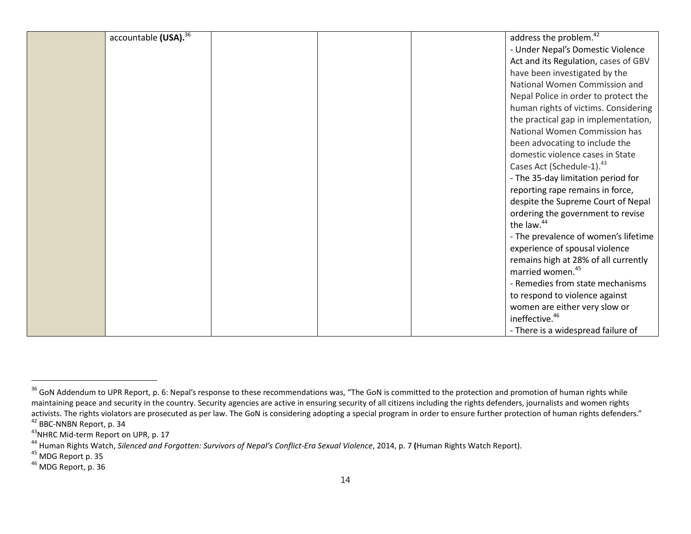| accountable (USA). <sup>36</sup> | address the problem. <sup>42</sup>    |
|----------------------------------|---------------------------------------|
|                                  | - Under Nepal's Domestic Violence     |
|                                  | Act and its Regulation, cases of GBV  |
|                                  | have been investigated by the         |
|                                  | National Women Commission and         |
|                                  | Nepal Police in order to protect the  |
|                                  | human rights of victims. Considering  |
|                                  | the practical gap in implementation,  |
|                                  | National Women Commission has         |
|                                  | been advocating to include the        |
|                                  | domestic violence cases in State      |
|                                  | Cases Act (Schedule-1). <sup>43</sup> |
|                                  | - The 35-day limitation period for    |
|                                  | reporting rape remains in force,      |
|                                  | despite the Supreme Court of Nepal    |
|                                  | ordering the government to revise     |
|                                  | the law. <sup>44</sup>                |
|                                  | - The prevalence of women's lifetime  |
|                                  | experience of spousal violence        |
|                                  | remains high at 28% of all currently  |
|                                  | married women. <sup>45</sup>          |
|                                  | - Remedies from state mechanisms      |
|                                  | to respond to violence against        |
|                                  | women are either very slow or         |
|                                  | ineffective. <sup>46</sup>            |
|                                  | - There is a widespread failure of    |

<sup>&</sup>lt;sup>36</sup> GoN Addendum to UPR Report, p. 6: Nepal's response to these recommendations was, "The GoN is committed to the protection and promotion of human rights while maintaining peace and security in the country. Security agencies are active in ensuring security of all citizens including the rights defenders, journalists and women rights activists. The rights violators are prosecuted as per law. The GoN is considering adopting a special program in order to ensure further protection of human rights defenders."<br><sup>42</sup> BBC-NNBN Report, p. 34

<sup>&</sup>lt;sup>43</sup>NHRC Mid-term Report on UPR, p. 17

<sup>&</sup>lt;sup>44</sup> Human Rights Watch, *Silenced and Forgotten: Survivors of Nepal's Conflict-Era Sexual Violence*, 2014, p. 7 (Human Rights Watch Report).<br><sup>45</sup> MDG Report p. 35

<sup>46</sup> MDG Report, p. 36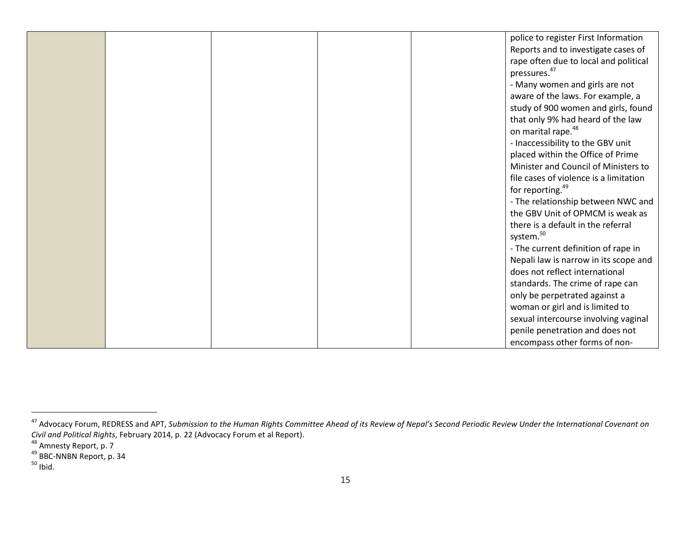|  |  | police to register First Information   |
|--|--|----------------------------------------|
|  |  | Reports and to investigate cases of    |
|  |  | rape often due to local and political  |
|  |  | pressures. <sup>47</sup>               |
|  |  | - Many women and girls are not         |
|  |  | aware of the laws. For example, a      |
|  |  | study of 900 women and girls, found    |
|  |  | that only 9% had heard of the law      |
|  |  | on marital rape. <sup>48</sup>         |
|  |  | - Inaccessibility to the GBV unit      |
|  |  | placed within the Office of Prime      |
|  |  | Minister and Council of Ministers to   |
|  |  | file cases of violence is a limitation |
|  |  | for reporting. <sup>49</sup>           |
|  |  | - The relationship between NWC and     |
|  |  | the GBV Unit of OPMCM is weak as       |
|  |  | there is a default in the referral     |
|  |  | system. <sup>50</sup>                  |
|  |  | - The current definition of rape in    |
|  |  | Nepali law is narrow in its scope and  |
|  |  | does not reflect international         |
|  |  | standards. The crime of rape can       |
|  |  | only be perpetrated against a          |
|  |  | woman or girl and is limited to        |
|  |  | sexual intercourse involving vaginal   |
|  |  | penile penetration and does not        |
|  |  | encompass other forms of non-          |

<sup>&</sup>lt;sup>47</sup> Advocacy Forum, REDRESS and APT, Submission to the Human Rights Committee Ahead of its Review of Nepal's Second Periodic Review Under the International Covenant on *Civil and Political Rights,* February 2014, p. 22 (Advocacy Forum et al Report).<br><sup>48</sup> Amnesty Report, p. 7

<sup>&</sup>lt;sup>49</sup> BBC-NNBN Report, p. 34

 $50$  Ibid.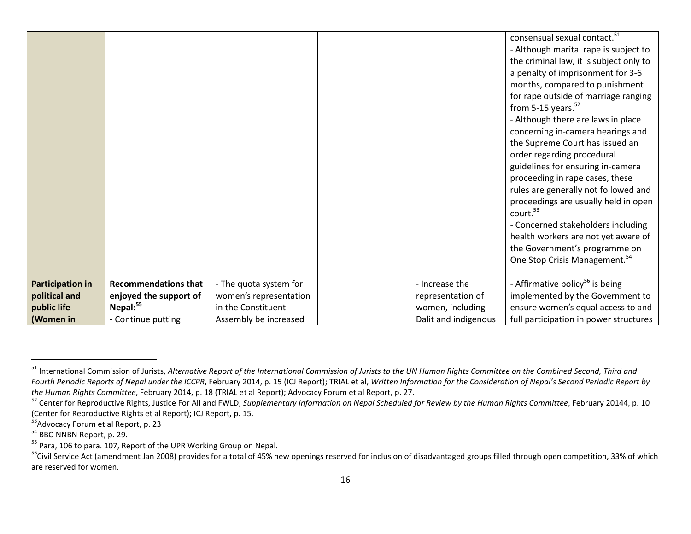|                         |                             |                        |                      | consensual sexual contact. <sup>51</sup><br>- Although marital rape is subject to<br>the criminal law, it is subject only to<br>a penalty of imprisonment for 3-6<br>months, compared to punishment<br>for rape outside of marriage ranging<br>from 5-15 years. $52$<br>- Although there are laws in place<br>concerning in-camera hearings and<br>the Supreme Court has issued an<br>order regarding procedural<br>guidelines for ensuring in-camera<br>proceeding in rape cases, these<br>rules are generally not followed and<br>proceedings are usually held in open<br>court. <sup>53</sup><br>- Concerned stakeholders including<br>health workers are not yet aware of<br>the Government's programme on |
|-------------------------|-----------------------------|------------------------|----------------------|----------------------------------------------------------------------------------------------------------------------------------------------------------------------------------------------------------------------------------------------------------------------------------------------------------------------------------------------------------------------------------------------------------------------------------------------------------------------------------------------------------------------------------------------------------------------------------------------------------------------------------------------------------------------------------------------------------------|
|                         |                             |                        |                      | One Stop Crisis Management. <sup>54</sup>                                                                                                                                                                                                                                                                                                                                                                                                                                                                                                                                                                                                                                                                      |
|                         |                             |                        |                      |                                                                                                                                                                                                                                                                                                                                                                                                                                                                                                                                                                                                                                                                                                                |
| <b>Participation in</b> | <b>Recommendations that</b> | - The quota system for | - Increase the       | - Affirmative policy <sup>56</sup> is being                                                                                                                                                                                                                                                                                                                                                                                                                                                                                                                                                                                                                                                                    |
| political and           | enjoyed the support of      | women's representation | representation of    | implemented by the Government to                                                                                                                                                                                                                                                                                                                                                                                                                                                                                                                                                                                                                                                                               |
| public life             | Nepal: <sup>55</sup>        | in the Constituent     | women, including     | ensure women's equal access to and                                                                                                                                                                                                                                                                                                                                                                                                                                                                                                                                                                                                                                                                             |
| (Women in               | - Continue putting          | Assembly be increased  | Dalit and indigenous | full participation in power structures                                                                                                                                                                                                                                                                                                                                                                                                                                                                                                                                                                                                                                                                         |

<sup>51</sup> International Commission of Jurists, *Alternative Report of the International Commission of Jurists to the UN Human Rights Committee on the Combined Second, Third and Fourth Periodic Reports of Nepal under the ICCPR*, February 2014, p. 15 (ICJ Report); TRIAL et al, *Written Information for the Consideration of Nepal's Second Periodic Report by*<br>the Human Rights Committee, February 2014

<sup>&</sup>lt;sup>52</sup> Center for Reproductive Rights, Justice For All and FWLD, Supplementary Information on Nepal Scheduled for Review by the Human Rights Committee, February 20144, p. 10 (Center for Reproductive Rights et al Report); ICJ Report, p. 15.<br><sup>53</sup>Advocacy Forum et al Report, p. 23

 $54$  BBC-NNBN Report, p. 29.<br> $55$  Para, 106 to para. 107, Report of the UPR Working Group on Nepal.

<sup>&</sup>lt;sup>56</sup>Civil Service Act (amendment Jan 2008) provides for a total of 45% new openings reserved for inclusion of disadvantaged groups filled through open competition, 33% of which are reserved for women.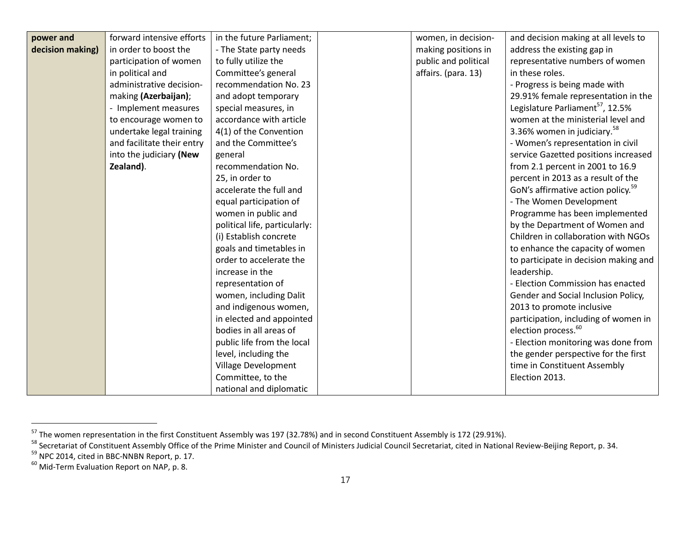| power and        | forward intensive efforts  | in the future Parliament;     | women, in decision-  | and decision making at all levels to           |
|------------------|----------------------------|-------------------------------|----------------------|------------------------------------------------|
| decision making) | in order to boost the      | - The State party needs       | making positions in  | address the existing gap in                    |
|                  | participation of women     | to fully utilize the          | public and political | representative numbers of women                |
|                  | in political and           | Committee's general           | affairs. (para. 13)  | in these roles.                                |
|                  | administrative decision-   | recommendation No. 23         |                      | - Progress is being made with                  |
|                  | making (Azerbaijan);       | and adopt temporary           |                      | 29.91% female representation in the            |
|                  | - Implement measures       | special measures, in          |                      | Legislature Parliament <sup>57</sup> , 12.5%   |
|                  | to encourage women to      | accordance with article       |                      | women at the ministerial level and             |
|                  | undertake legal training   | 4(1) of the Convention        |                      | 3.36% women in judiciary. <sup>58</sup>        |
|                  | and facilitate their entry | and the Committee's           |                      | - Women's representation in civil              |
|                  | into the judiciary (New    | general                       |                      | service Gazetted positions increased           |
|                  | Zealand).                  | recommendation No.            |                      | from 2.1 percent in 2001 to 16.9               |
|                  |                            | 25, in order to               |                      | percent in 2013 as a result of the             |
|                  |                            | accelerate the full and       |                      | GoN's affirmative action policy. <sup>59</sup> |
|                  |                            | equal participation of        |                      | - The Women Development                        |
|                  |                            | women in public and           |                      | Programme has been implemented                 |
|                  |                            | political life, particularly: |                      | by the Department of Women and                 |
|                  |                            | (i) Establish concrete        |                      | Children in collaboration with NGOs            |
|                  |                            | goals and timetables in       |                      | to enhance the capacity of women               |
|                  |                            | order to accelerate the       |                      | to participate in decision making and          |
|                  |                            | increase in the               |                      | leadership.                                    |
|                  |                            | representation of             |                      | - Election Commission has enacted              |
|                  |                            | women, including Dalit        |                      | Gender and Social Inclusion Policy,            |
|                  |                            | and indigenous women,         |                      | 2013 to promote inclusive                      |
|                  |                            | in elected and appointed      |                      | participation, including of women in           |
|                  |                            | bodies in all areas of        |                      | election process. <sup>60</sup>                |
|                  |                            | public life from the local    |                      | - Election monitoring was done from            |
|                  |                            | level, including the          |                      | the gender perspective for the first           |
|                  |                            | Village Development           |                      | time in Constituent Assembly                   |
|                  |                            | Committee, to the             |                      | Election 2013.                                 |
|                  |                            | national and diplomatic       |                      |                                                |

<sup>&</sup>lt;sup>57</sup> The women representation in the first Constituent Assembly was 197 (32.78%) and in second Constituent Assembly is 172 (29.91%).<br><sup>58</sup> Secretariat of Constituent Assembly Office of the Prime Minister and Council of Mini

 $^{60}$  Mid-Term Evaluation Report on NAP, p. 8.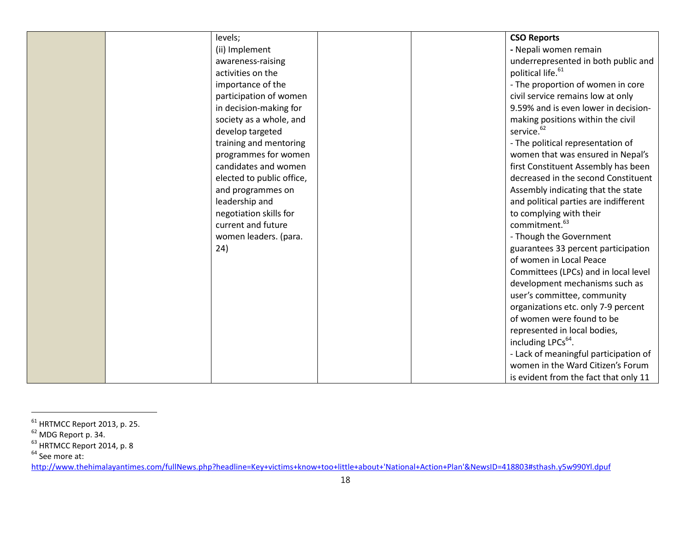| levels;                   | <b>CSO Reports</b>                    |
|---------------------------|---------------------------------------|
| (ii) Implement            | - Nepali women remain                 |
| awareness-raising         | underrepresented in both public and   |
| activities on the         | political life. <sup>61</sup>         |
| importance of the         | - The proportion of women in core     |
| participation of women    | civil service remains low at only     |
| in decision-making for    | 9.59% and is even lower in decision-  |
| society as a whole, and   | making positions within the civil     |
| develop targeted          | service. <sup>62</sup>                |
| training and mentoring    | - The political representation of     |
| programmes for women      | women that was ensured in Nepal's     |
| candidates and women      | first Constituent Assembly has been   |
| elected to public office, | decreased in the second Constituent   |
| and programmes on         | Assembly indicating that the state    |
| leadership and            | and political parties are indifferent |
| negotiation skills for    | to complying with their               |
| current and future        | commitment. <sup>63</sup>             |
| women leaders. (para.     | - Though the Government               |
| 24)                       | guarantees 33 percent participation   |
|                           | of women in Local Peace               |
|                           | Committees (LPCs) and in local level  |
|                           | development mechanisms such as        |
|                           | user's committee, community           |
|                           | organizations etc. only 7-9 percent   |
|                           | of women were found to be             |
|                           | represented in local bodies,          |
|                           | including LPCs <sup>64</sup> .        |
|                           | - Lack of meaningful participation of |
|                           | women in the Ward Citizen's Forum     |
|                           | is evident from the fact that only 11 |

 $<sup>61</sup>$  HRTMCC Report 2013, p. 25.</sup>

 $62$  MDG Report p. 34.

 $^{63}$  HRTMCC Report 2014, p. 8

<sup>&</sup>lt;sup>64</sup> See more at:

http://www.thehimalayantimes.com/fullNews.php?headline=Key+victims+know+too+little+about+'National+Action+Plan'&NewsID=418803#sthash.y5w990Yl.dpuf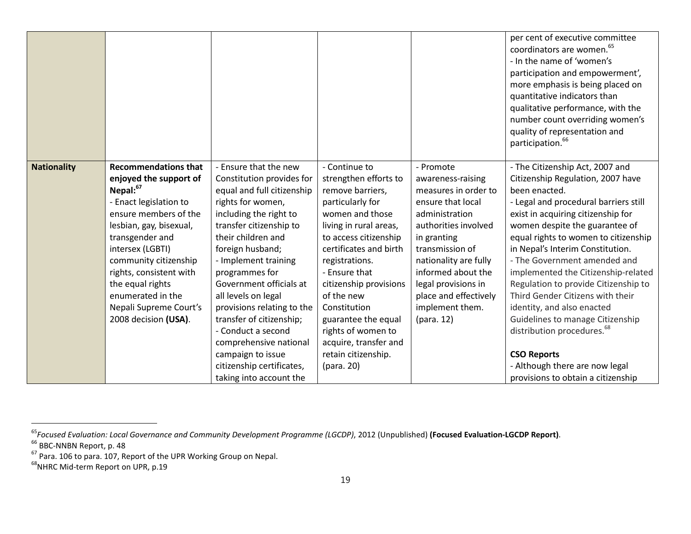|                    |                                                                                                                                                                                                                                                                                                                                                   |                                                                                                                                                                                                                                                                                                                                                                                                                                                                                         |                                                                                                                                                                                                                                                                                                                                                                                      |                                                                                                                                                                                                                                                                                         | per cent of executive committee<br>coordinators are women. <sup>65</sup><br>- In the name of 'women's<br>participation and empowerment',<br>more emphasis is being placed on<br>quantitative indicators than<br>qualitative performance, with the<br>number count overriding women's<br>quality of representation and<br>participation. <sup>66</sup>                                                                                                                                                                                                                                                                                           |
|--------------------|---------------------------------------------------------------------------------------------------------------------------------------------------------------------------------------------------------------------------------------------------------------------------------------------------------------------------------------------------|-----------------------------------------------------------------------------------------------------------------------------------------------------------------------------------------------------------------------------------------------------------------------------------------------------------------------------------------------------------------------------------------------------------------------------------------------------------------------------------------|--------------------------------------------------------------------------------------------------------------------------------------------------------------------------------------------------------------------------------------------------------------------------------------------------------------------------------------------------------------------------------------|-----------------------------------------------------------------------------------------------------------------------------------------------------------------------------------------------------------------------------------------------------------------------------------------|-------------------------------------------------------------------------------------------------------------------------------------------------------------------------------------------------------------------------------------------------------------------------------------------------------------------------------------------------------------------------------------------------------------------------------------------------------------------------------------------------------------------------------------------------------------------------------------------------------------------------------------------------|
| <b>Nationality</b> | <b>Recommendations that</b><br>enjoyed the support of<br>Nepal: <sup>67</sup><br>- Enact legislation to<br>ensure members of the<br>lesbian, gay, bisexual,<br>transgender and<br>intersex (LGBTI)<br>community citizenship<br>rights, consistent with<br>the equal rights<br>enumerated in the<br>Nepali Supreme Court's<br>2008 decision (USA). | - Ensure that the new<br>Constitution provides for<br>equal and full citizenship<br>rights for women,<br>including the right to<br>transfer citizenship to<br>their children and<br>foreign husband;<br>- Implement training<br>programmes for<br>Government officials at<br>all levels on legal<br>provisions relating to the<br>transfer of citizenship;<br>- Conduct a second<br>comprehensive national<br>campaign to issue<br>citizenship certificates,<br>taking into account the | - Continue to<br>strengthen efforts to<br>remove barriers,<br>particularly for<br>women and those<br>living in rural areas,<br>to access citizenship<br>certificates and birth<br>registrations.<br>- Ensure that<br>citizenship provisions<br>of the new<br>Constitution<br>guarantee the equal<br>rights of women to<br>acquire, transfer and<br>retain citizenship.<br>(para. 20) | - Promote<br>awareness-raising<br>measures in order to<br>ensure that local<br>administration<br>authorities involved<br>in granting<br>transmission of<br>nationality are fully<br>informed about the<br>legal provisions in<br>place and effectively<br>implement them.<br>(para. 12) | - The Citizenship Act, 2007 and<br>Citizenship Regulation, 2007 have<br>been enacted.<br>- Legal and procedural barriers still<br>exist in acquiring citizenship for<br>women despite the guarantee of<br>equal rights to women to citizenship<br>in Nepal's Interim Constitution.<br>- The Government amended and<br>implemented the Citizenship-related<br>Regulation to provide Citizenship to<br>Third Gender Citizens with their<br>identity, and also enacted<br>Guidelines to manage Citizenship<br>distribution procedures. <sup>68</sup><br><b>CSO Reports</b><br>- Although there are now legal<br>provisions to obtain a citizenship |

<sup>&</sup>lt;sup>65</sup>Focused Evaluation: Local Governance and Community Development Programme (LGCDP), 2012 (Unpublished) **(Focused Evaluation-LGCDP Report)**.<br><sup>66</sup> BBC-NNBN Report, p. 48

<sup>&</sup>lt;sup>67</sup> Para. 106 to para. 107, Report of the UPR Working Group on Nepal.<br><sup>68</sup>NHRC Mid-term Report on UPR, p.19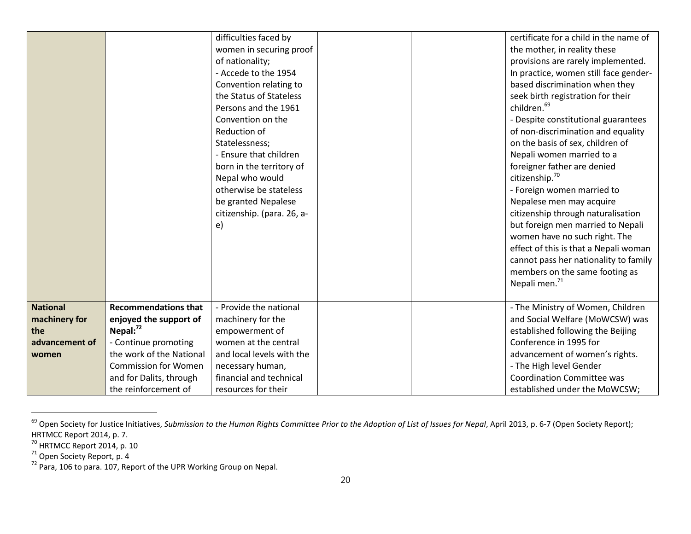|                 |                             | difficulties faced by      |  | certificate for a child in the name of                       |
|-----------------|-----------------------------|----------------------------|--|--------------------------------------------------------------|
|                 |                             | women in securing proof    |  | the mother, in reality these                                 |
|                 |                             | of nationality;            |  | provisions are rarely implemented.                           |
|                 |                             | - Accede to the 1954       |  | In practice, women still face gender-                        |
|                 |                             | Convention relating to     |  | based discrimination when they                               |
|                 |                             | the Status of Stateless    |  | seek birth registration for their                            |
|                 |                             | Persons and the 1961       |  | children. <sup>69</sup>                                      |
|                 |                             | Convention on the          |  | - Despite constitutional guarantees                          |
|                 |                             | Reduction of               |  | of non-discrimination and equality                           |
|                 |                             | Statelessness;             |  | on the basis of sex, children of                             |
|                 |                             | - Ensure that children     |  | Nepali women married to a                                    |
|                 |                             | born in the territory of   |  | foreigner father are denied                                  |
|                 |                             | Nepal who would            |  | citizenship. <sup>70</sup>                                   |
|                 |                             | otherwise be stateless     |  | - Foreign women married to                                   |
|                 |                             | be granted Nepalese        |  | Nepalese men may acquire                                     |
|                 |                             | citizenship. (para. 26, a- |  | citizenship through naturalisation                           |
|                 |                             | e)                         |  | but foreign men married to Nepali                            |
|                 |                             |                            |  | women have no such right. The                                |
|                 |                             |                            |  | effect of this is that a Nepali woman                        |
|                 |                             |                            |  | cannot pass her nationality to family                        |
|                 |                             |                            |  | members on the same footing as                               |
|                 |                             |                            |  | Nepali men. <sup>71</sup>                                    |
|                 |                             |                            |  |                                                              |
| <b>National</b> | <b>Recommendations that</b> | - Provide the national     |  | - The Ministry of Women, Children                            |
| machinery for   | enjoyed the support of      | machinery for the          |  | and Social Welfare (MoWCSW) was                              |
| the             | Nepal: $^{72}$              | empowerment of             |  | established following the Beijing                            |
| advancement of  | - Continue promoting        | women at the central       |  | Conference in 1995 for                                       |
| women           | the work of the National    | and local levels with the  |  | advancement of women's rights.                               |
|                 | <b>Commission for Women</b> | necessary human,           |  | - The High level Gender<br><b>Coordination Committee was</b> |
|                 | and for Dalits, through     | financial and technical    |  |                                                              |
|                 | the reinforcement of        | resources for their        |  | established under the MoWCSW;                                |

<sup>&</sup>lt;sup>69</sup> Open Society for Justice Initiatives, Submission to the Human Rights Committee Prior to the Adoption of List of Issues for Nepal, April 2013, p. 6-7 (Open Society Report); HRTMCC Report 2014, p. 7.

 $^{70}$  HRTMCC Report 2014, p. 10

<sup>&</sup>lt;sup>71</sup> Open Society Report, p. 4

 $72$  Para, 106 to para. 107, Report of the UPR Working Group on Nepal.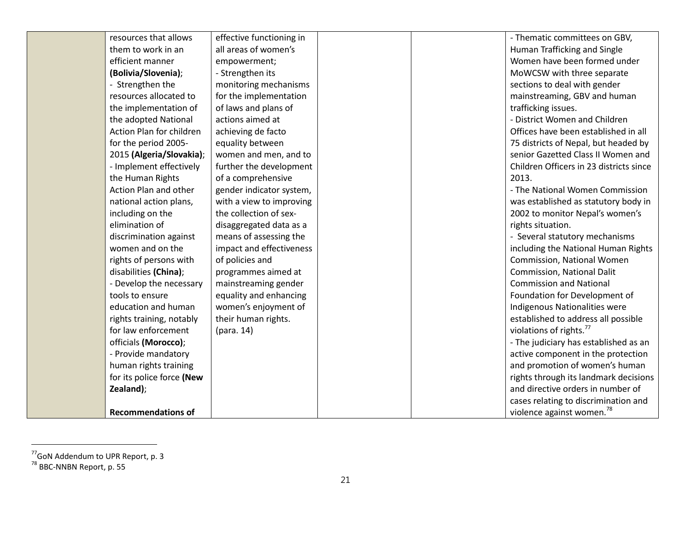| resources that allows     | effective functioning in |  | - Thematic committees on GBV,           |
|---------------------------|--------------------------|--|-----------------------------------------|
| them to work in an        | all areas of women's     |  | Human Trafficking and Single            |
| efficient manner          | empowerment;             |  | Women have been formed under            |
| (Bolivia/Slovenia);       | - Strengthen its         |  | MoWCSW with three separate              |
| - Strengthen the          | monitoring mechanisms    |  | sections to deal with gender            |
| resources allocated to    | for the implementation   |  | mainstreaming, GBV and human            |
| the implementation of     | of laws and plans of     |  | trafficking issues.                     |
| the adopted National      | actions aimed at         |  | - District Women and Children           |
| Action Plan for children  | achieving de facto       |  | Offices have been established in all    |
| for the period 2005-      | equality between         |  | 75 districts of Nepal, but headed by    |
| 2015 (Algeria/Slovakia);  | women and men, and to    |  | senior Gazetted Class II Women and      |
| - Implement effectively   | further the development  |  | Children Officers in 23 districts since |
| the Human Rights          | of a comprehensive       |  | 2013.                                   |
| Action Plan and other     | gender indicator system, |  | - The National Women Commission         |
| national action plans,    | with a view to improving |  | was established as statutory body in    |
| including on the          | the collection of sex-   |  | 2002 to monitor Nepal's women's         |
| elimination of            | disaggregated data as a  |  | rights situation.                       |
| discrimination against    | means of assessing the   |  | - Several statutory mechanisms          |
| women and on the          | impact and effectiveness |  | including the National Human Rights     |
| rights of persons with    | of policies and          |  | Commission, National Women              |
| disabilities (China);     | programmes aimed at      |  | <b>Commission, National Dalit</b>       |
| - Develop the necessary   | mainstreaming gender     |  | <b>Commission and National</b>          |
| tools to ensure           | equality and enhancing   |  | Foundation for Development of           |
| education and human       | women's enjoyment of     |  | Indigenous Nationalities were           |
| rights training, notably  | their human rights.      |  | established to address all possible     |
| for law enforcement       | (para. 14)               |  | violations of rights. <sup>77</sup>     |
| officials (Morocco);      |                          |  | - The judiciary has established as an   |
| - Provide mandatory       |                          |  | active component in the protection      |
| human rights training     |                          |  | and promotion of women's human          |
| for its police force (New |                          |  | rights through its landmark decisions   |
| Zealand);                 |                          |  | and directive orders in number of       |
|                           |                          |  | cases relating to discrimination and    |
| <b>Recommendations of</b> |                          |  | violence against women. <sup>78</sup>   |

<sup>&</sup>lt;sup>77</sup>GoN Addendum to UPR Report, p. 3

<sup>&</sup>lt;sup>78</sup> BBC-NNBN Report, p. 55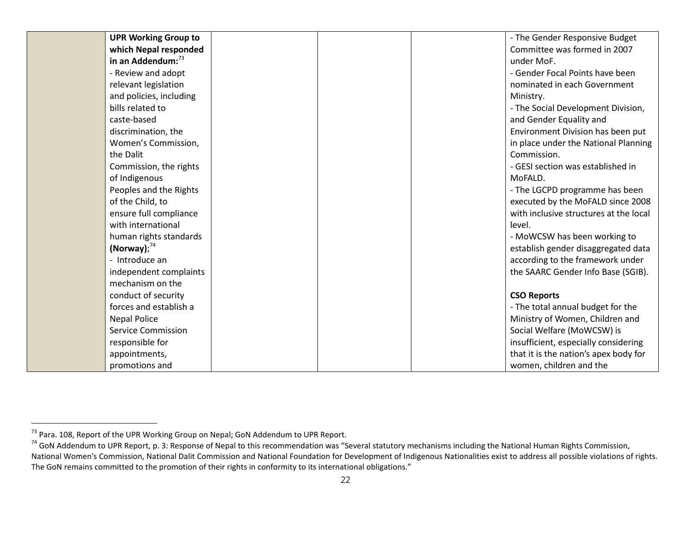| <b>UPR Working Group to</b>   |  | - The Gender Responsive Budget         |
|-------------------------------|--|----------------------------------------|
| which Nepal responded         |  | Committee was formed in 2007           |
| in an Addendum: <sup>73</sup> |  | under MoF.                             |
| - Review and adopt            |  | - Gender Focal Points have been        |
| relevant legislation          |  | nominated in each Government           |
| and policies, including       |  | Ministry.                              |
| bills related to              |  | - The Social Development Division,     |
| caste-based                   |  | and Gender Equality and                |
| discrimination, the           |  | Environment Division has been put      |
| Women's Commission,           |  | in place under the National Planning   |
| the Dalit                     |  | Commission.                            |
| Commission, the rights        |  | - GESI section was established in      |
| of Indigenous                 |  | MoFALD.                                |
| Peoples and the Rights        |  | - The LGCPD programme has been         |
| of the Child, to              |  | executed by the MoFALD since 2008      |
| ensure full compliance        |  | with inclusive structures at the local |
| with international            |  | level.                                 |
| human rights standards        |  | - MoWCSW has been working to           |
| (Norway); $^{74}$             |  | establish gender disaggregated data    |
| - Introduce an                |  | according to the framework under       |
| independent complaints        |  | the SAARC Gender Info Base (SGIB).     |
| mechanism on the              |  |                                        |
| conduct of security           |  | <b>CSO Reports</b>                     |
| forces and establish a        |  | - The total annual budget for the      |
| <b>Nepal Police</b>           |  | Ministry of Women, Children and        |
| <b>Service Commission</b>     |  | Social Welfare (MoWCSW) is             |
| responsible for               |  | insufficient, especially considering   |
| appointments,                 |  | that it is the nation's apex body for  |
| promotions and                |  | women, children and the                |

<sup>&</sup>lt;sup>73</sup> Para. 108, Report of the UPR Working Group on Nepal; GoN Addendum to UPR Report.<br><sup>74</sup> GoN Addendum to UPR Report, p. 3: Response of Nepal to this recommendation was "Several statutory mechanisms including the Nationa National Women's Commission, National Dalit Commission and National Foundation for Development of Indigenous Nationalities exist to address all possible violations of rights. The GoN remains committed to the promotion of their rights in conformity to its international obligations."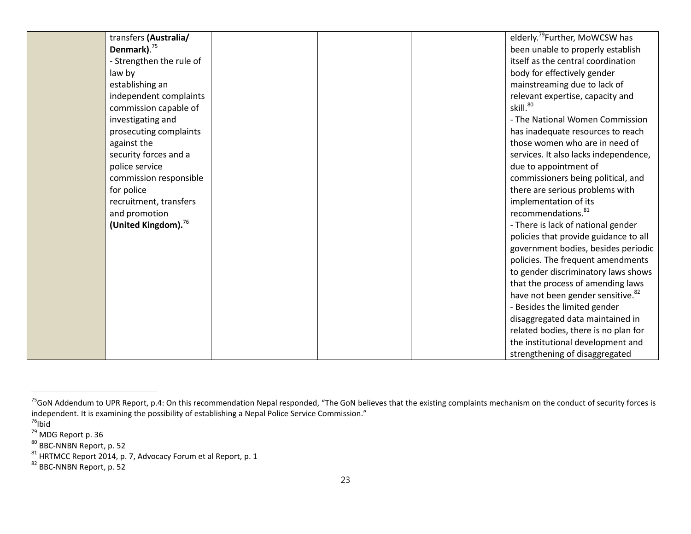| transfers (Australia/           |  | elderly. <sup>79</sup> Further, MoWCSW has    |
|---------------------------------|--|-----------------------------------------------|
| Denmark). <sup>75</sup>         |  | been unable to properly establish             |
| - Strengthen the rule of        |  | itself as the central coordination            |
| law by                          |  | body for effectively gender                   |
| establishing an                 |  | mainstreaming due to lack of                  |
| independent complaints          |  | relevant expertise, capacity and              |
| commission capable of           |  | skill. <sup>80</sup>                          |
| investigating and               |  | - The National Women Commission               |
| prosecuting complaints          |  | has inadequate resources to reach             |
| against the                     |  | those women who are in need of                |
| security forces and a           |  | services. It also lacks independence,         |
| police service                  |  | due to appointment of                         |
| commission responsible          |  | commissioners being political, and            |
| for police                      |  | there are serious problems with               |
| recruitment, transfers          |  | implementation of its                         |
| and promotion                   |  | recommendations. <sup>81</sup>                |
| (United Kingdom). <sup>76</sup> |  | - There is lack of national gender            |
|                                 |  | policies that provide guidance to all         |
|                                 |  | government bodies, besides periodic           |
|                                 |  | policies. The frequent amendments             |
|                                 |  | to gender discriminatory laws shows           |
|                                 |  | that the process of amending laws             |
|                                 |  | have not been gender sensitive. <sup>82</sup> |
|                                 |  | - Besides the limited gender                  |
|                                 |  | disaggregated data maintained in              |
|                                 |  | related bodies, there is no plan for          |
|                                 |  | the institutional development and             |
|                                 |  | strengthening of disaggregated                |

<sup>&</sup>lt;sup>75</sup>GoN Addendum to UPR Report, p.4: On this recommendation Nepal responded, "The GoN believes that the existing complaints mechanism on the conduct of security forces is independent. It is examining the possibility of establishing a Nepal Police Service Commission."<br><sup>76</sup>Ibid

 $79$  MDG Report p. 36

<sup>&</sup>lt;sup>80</sup> BBC-NNBN Report, p. 52

 $^{81}$  HRTMCC Report 2014, p. 7, Advocacy Forum et al Report, p. 1<br> $^{82}$  BBC-NNBN Report, p. 52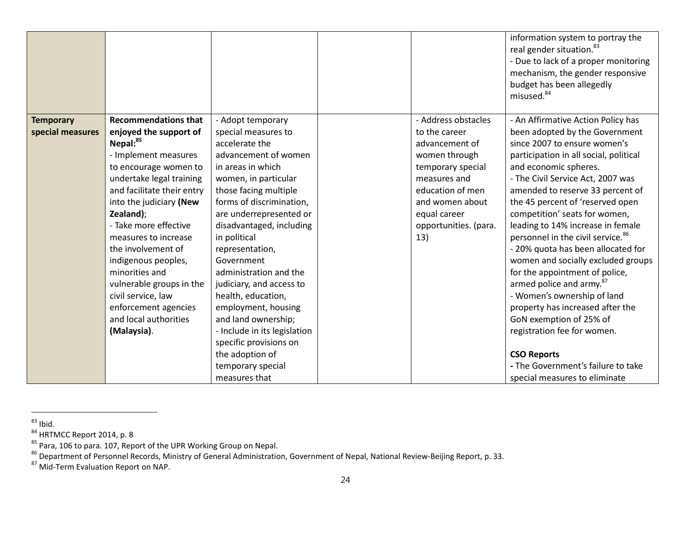|                  |                             |                              |                       | information system to portray the<br>real gender situation. <sup>83</sup><br>- Due to lack of a proper monitoring<br>mechanism, the gender responsive<br>budget has been allegedly |
|------------------|-----------------------------|------------------------------|-----------------------|------------------------------------------------------------------------------------------------------------------------------------------------------------------------------------|
|                  |                             |                              |                       | misused. <sup>84</sup>                                                                                                                                                             |
| <b>Temporary</b> | <b>Recommendations that</b> | - Adopt temporary            | - Address obstacles   | - An Affirmative Action Policy has                                                                                                                                                 |
| special measures | enjoyed the support of      | special measures to          | to the career         | been adopted by the Government                                                                                                                                                     |
|                  | Nepal:85                    | accelerate the               | advancement of        | since 2007 to ensure women's                                                                                                                                                       |
|                  | - Implement measures        | advancement of women         | women through         | participation in all social, political                                                                                                                                             |
|                  | to encourage women to       | in areas in which            | temporary special     | and economic spheres.                                                                                                                                                              |
|                  | undertake legal training    | women, in particular         | measures and          | - The Civil Service Act, 2007 was                                                                                                                                                  |
|                  | and facilitate their entry  | those facing multiple        | education of men      | amended to reserve 33 percent of                                                                                                                                                   |
|                  | into the judiciary (New     | forms of discrimination,     | and women about       | the 45 percent of 'reserved open                                                                                                                                                   |
|                  | Zealand);                   | are underrepresented or      | equal career          | competition' seats for women,                                                                                                                                                      |
|                  | - Take more effective       | disadvantaged, including     | opportunities. (para. | leading to 14% increase in female                                                                                                                                                  |
|                  | measures to increase        | in political                 | 13)                   | personnel in the civil service. <sup>86</sup>                                                                                                                                      |
|                  | the involvement of          | representation,              |                       | - 20% quota has been allocated for                                                                                                                                                 |
|                  | indigenous peoples,         | Government                   |                       | women and socially excluded groups                                                                                                                                                 |
|                  | minorities and              | administration and the       |                       | for the appointment of police,                                                                                                                                                     |
|                  | vulnerable groups in the    | judiciary, and access to     |                       | armed police and army. <sup>87</sup>                                                                                                                                               |
|                  | civil service, law          | health, education,           |                       | - Women's ownership of land                                                                                                                                                        |
|                  | enforcement agencies        | employment, housing          |                       | property has increased after the                                                                                                                                                   |
|                  | and local authorities       | and land ownership;          |                       | GoN exemption of 25% of                                                                                                                                                            |
|                  | (Malaysia).                 | - Include in its legislation |                       | registration fee for women.                                                                                                                                                        |
|                  |                             | specific provisions on       |                       |                                                                                                                                                                                    |
|                  |                             | the adoption of              |                       | <b>CSO Reports</b>                                                                                                                                                                 |
|                  |                             | temporary special            |                       | - The Government's failure to take                                                                                                                                                 |
|                  |                             | measures that                |                       | special measures to eliminate                                                                                                                                                      |

 $^{83}$  Ibid.

 $84$  HRTMCC Report 2014, p. 8

<sup>&</sup>lt;sup>85</sup> Para, 106 to para. 107, Report of the UPR Working Group on Nepal.<br><sup>86</sup> Department of Personnel Records, Ministry of General Administration, Government of Nepal, National Review-Beijing Report, p. 33.<br><sup>87</sup> Mid-Term Eva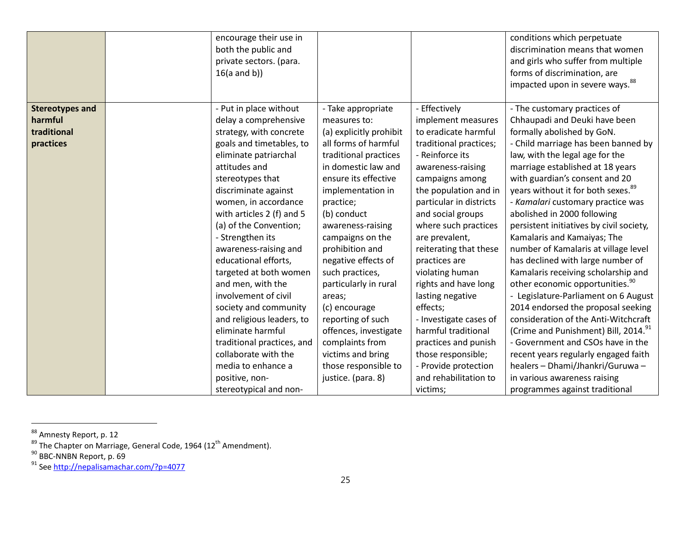|                        | encourage their use in<br>both the public and<br>private sectors. (para.<br>$16(a \text{ and } b))$ |                         |                         | conditions which perpetuate<br>discrimination means that women<br>and girls who suffer from multiple<br>forms of discrimination, are<br>impacted upon in severe ways. <sup>88</sup> |
|------------------------|-----------------------------------------------------------------------------------------------------|-------------------------|-------------------------|-------------------------------------------------------------------------------------------------------------------------------------------------------------------------------------|
| <b>Stereotypes and</b> | - Put in place without                                                                              | - Take appropriate      | - Effectively           | - The customary practices of                                                                                                                                                        |
| harmful                | delay a comprehensive                                                                               | measures to:            | implement measures      | Chhaupadi and Deuki have been                                                                                                                                                       |
| traditional            | strategy, with concrete                                                                             | (a) explicitly prohibit | to eradicate harmful    | formally abolished by GoN.                                                                                                                                                          |
| practices              | goals and timetables, to                                                                            | all forms of harmful    | traditional practices;  | - Child marriage has been banned by                                                                                                                                                 |
|                        | eliminate patriarchal                                                                               | traditional practices   | - Reinforce its         | law, with the legal age for the                                                                                                                                                     |
|                        | attitudes and                                                                                       | in domestic law and     | awareness-raising       | marriage established at 18 years                                                                                                                                                    |
|                        | stereotypes that                                                                                    | ensure its effective    | campaigns among         | with guardian's consent and 20                                                                                                                                                      |
|                        | discriminate against                                                                                | implementation in       | the population and in   | years without it for both sexes. <sup>89</sup>                                                                                                                                      |
|                        | women, in accordance                                                                                | practice;               | particular in districts | - Kamalari customary practice was                                                                                                                                                   |
|                        | with articles 2 (f) and 5                                                                           | (b) conduct             | and social groups       | abolished in 2000 following                                                                                                                                                         |
|                        | (a) of the Convention;                                                                              | awareness-raising       | where such practices    | persistent initiatives by civil society,                                                                                                                                            |
|                        | - Strengthen its                                                                                    | campaigns on the        | are prevalent,          | Kamalaris and Kamaiyas; The                                                                                                                                                         |
|                        | awareness-raising and                                                                               | prohibition and         | reiterating that these  | number of Kamalaris at village level                                                                                                                                                |
|                        | educational efforts,                                                                                | negative effects of     | practices are           | has declined with large number of                                                                                                                                                   |
|                        | targeted at both women                                                                              | such practices,         | violating human         | Kamalaris receiving scholarship and                                                                                                                                                 |
|                        | and men, with the                                                                                   | particularly in rural   | rights and have long    | other economic opportunities. <sup>90</sup>                                                                                                                                         |
|                        | involvement of civil                                                                                | areas;                  | lasting negative        | - Legislature-Parliament on 6 August                                                                                                                                                |
|                        | society and community                                                                               | (c) encourage           | effects;                | 2014 endorsed the proposal seeking                                                                                                                                                  |
|                        | and religious leaders, to                                                                           | reporting of such       | - Investigate cases of  | consideration of the Anti-Witchcraft                                                                                                                                                |
|                        | eliminate harmful                                                                                   | offences, investigate   | harmful traditional     | (Crime and Punishment) Bill, 2014. <sup>91</sup>                                                                                                                                    |
|                        | traditional practices, and                                                                          | complaints from         | practices and punish    | - Government and CSOs have in the                                                                                                                                                   |
|                        | collaborate with the                                                                                | victims and bring       | those responsible;      | recent years regularly engaged faith                                                                                                                                                |
|                        | media to enhance a                                                                                  | those responsible to    | - Provide protection    | healers - Dhami/Jhankri/Guruwa -                                                                                                                                                    |
|                        | positive, non-                                                                                      | justice. (para. 8)      | and rehabilitation to   | in various awareness raising                                                                                                                                                        |
|                        | stereotypical and non-                                                                              |                         | victims;                | programmes against traditional                                                                                                                                                      |

<sup>&</sup>lt;sup>88</sup> Amnesty Report, p. 12

<sup>&</sup>lt;sup>89</sup> The Chapter on Marriage, General Code, 1964 (12<sup>th</sup> Amendment).<br><sup>90</sup> BBC-NNBN Report, p. 69

<sup>&</sup>lt;sup>91</sup> See http://nepalisamachar.com/?p=4077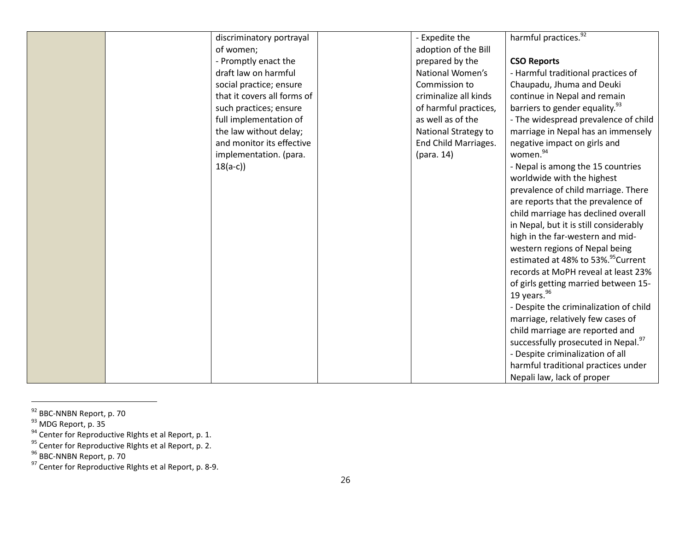| discriminatory portrayal    | - Expedite the        | harmful practices. <sup>92</sup>               |
|-----------------------------|-----------------------|------------------------------------------------|
| of women;                   | adoption of the Bill  |                                                |
| - Promptly enact the        | prepared by the       | <b>CSO Reports</b>                             |
| draft law on harmful        | National Women's      | - Harmful traditional practices of             |
| social practice; ensure     | Commission to         | Chaupadu, Jhuma and Deuki                      |
| that it covers all forms of | criminalize all kinds | continue in Nepal and remain                   |
| such practices; ensure      | of harmful practices, | barriers to gender equality. <sup>93</sup>     |
| full implementation of      | as well as of the     | - The widespread prevalence of child           |
| the law without delay;      | National Strategy to  | marriage in Nepal has an immensely             |
| and monitor its effective   | End Child Marriages.  | negative impact on girls and                   |
| implementation. (para.      | (para. 14)            | women. <sup>94</sup>                           |
| $18(a-c)$                   |                       | - Nepal is among the 15 countries              |
|                             |                       | worldwide with the highest                     |
|                             |                       | prevalence of child marriage. There            |
|                             |                       | are reports that the prevalence of             |
|                             |                       | child marriage has declined overall            |
|                             |                       | in Nepal, but it is still considerably         |
|                             |                       | high in the far-western and mid-               |
|                             |                       | western regions of Nepal being                 |
|                             |                       | estimated at 48% to 53%. <sup>95</sup> Current |
|                             |                       | records at MoPH reveal at least 23%            |
|                             |                       | of girls getting married between 15-           |
|                             |                       | 19 years. $96$                                 |
|                             |                       | - Despite the criminalization of child         |
|                             |                       | marriage, relatively few cases of              |
|                             |                       | child marriage are reported and                |
|                             |                       | successfully prosecuted in Nepal.97            |
|                             |                       | - Despite criminalization of all               |
|                             |                       | harmful traditional practices under            |
|                             |                       |                                                |
|                             |                       | Nepali law, lack of proper                     |

<sup>&</sup>lt;sup>92</sup> BBC-NNBN Report, p. 70

<sup>&</sup>lt;sup>93</sup> MDG Report, p. 35

 $94$  Center for Reproductive RIghts et al Report, p. 1.

<sup>&</sup>lt;sup>95</sup> Center for Reproductive RIghts et al Report, p. 2.

<sup>&</sup>lt;sup>96</sup> BBC-NNBN Report, p. 70

<sup>&</sup>lt;sup>97</sup> Center for Reproductive RIghts et al Report, p. 8-9.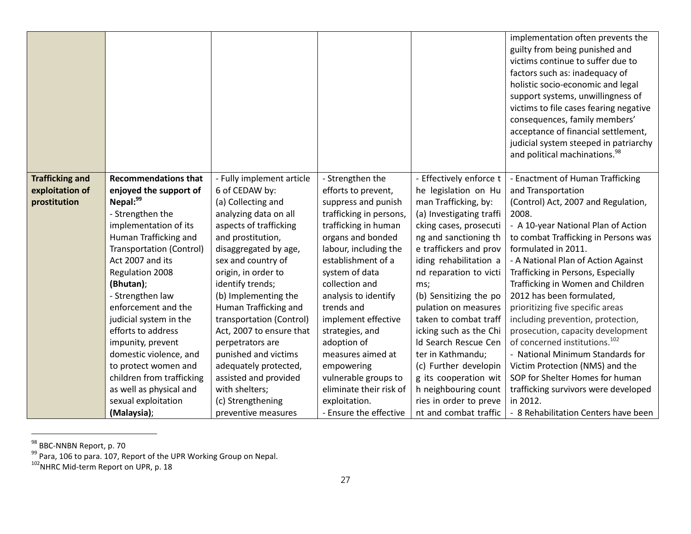|                        |                                 |                           |                         |                          | implementation often prevents the<br>guilty from being punished and<br>victims continue to suffer due to<br>factors such as: inadequacy of<br>holistic socio-economic and legal<br>support systems, unwillingness of<br>victims to file cases fearing negative<br>consequences, family members'<br>acceptance of financial settlement,<br>judicial system steeped in patriarchy<br>and political machinations. <sup>98</sup> |
|------------------------|---------------------------------|---------------------------|-------------------------|--------------------------|------------------------------------------------------------------------------------------------------------------------------------------------------------------------------------------------------------------------------------------------------------------------------------------------------------------------------------------------------------------------------------------------------------------------------|
| <b>Trafficking and</b> | <b>Recommendations that</b>     | - Fully implement article | - Strengthen the        | - Effectively enforce t  | - Enactment of Human Trafficking                                                                                                                                                                                                                                                                                                                                                                                             |
| exploitation of        | enjoyed the support of          | 6 of CEDAW by:            | efforts to prevent,     | he legislation on Hu     | and Transportation                                                                                                                                                                                                                                                                                                                                                                                                           |
| prostitution           | Nepal:99                        | (a) Collecting and        | suppress and punish     | man Trafficking, by:     | (Control) Act, 2007 and Regulation,                                                                                                                                                                                                                                                                                                                                                                                          |
|                        | - Strengthen the                | analyzing data on all     | trafficking in persons, | (a) Investigating traffi | 2008.                                                                                                                                                                                                                                                                                                                                                                                                                        |
|                        | implementation of its           | aspects of trafficking    | trafficking in human    | cking cases, prosecuti   | - A 10-year National Plan of Action                                                                                                                                                                                                                                                                                                                                                                                          |
|                        | Human Trafficking and           | and prostitution,         | organs and bonded       | ng and sanctioning th    | to combat Trafficking in Persons was                                                                                                                                                                                                                                                                                                                                                                                         |
|                        | <b>Transportation (Control)</b> | disaggregated by age,     | labour, including the   | e traffickers and prov   | formulated in 2011.                                                                                                                                                                                                                                                                                                                                                                                                          |
|                        | Act 2007 and its                | sex and country of        | establishment of a      | iding rehabilitation a   | - A National Plan of Action Against                                                                                                                                                                                                                                                                                                                                                                                          |
|                        | Regulation 2008                 | origin, in order to       | system of data          | nd reparation to victi   | Trafficking in Persons, Especially                                                                                                                                                                                                                                                                                                                                                                                           |
|                        | (Bhutan);                       | identify trends;          | collection and          | ms;                      | Trafficking in Women and Children                                                                                                                                                                                                                                                                                                                                                                                            |
|                        | - Strengthen law                | (b) Implementing the      | analysis to identify    | (b) Sensitizing the po   | 2012 has been formulated,                                                                                                                                                                                                                                                                                                                                                                                                    |
|                        | enforcement and the             | Human Trafficking and     | trends and              | pulation on measures     | prioritizing five specific areas                                                                                                                                                                                                                                                                                                                                                                                             |
|                        | judicial system in the          | transportation (Control)  | implement effective     | taken to combat traff    | including prevention, protection,                                                                                                                                                                                                                                                                                                                                                                                            |
|                        | efforts to address              | Act, 2007 to ensure that  | strategies, and         | icking such as the Chi   | prosecution, capacity development                                                                                                                                                                                                                                                                                                                                                                                            |
|                        | impunity, prevent               | perpetrators are          | adoption of             | Id Search Rescue Cen     | of concerned institutions. <sup>102</sup>                                                                                                                                                                                                                                                                                                                                                                                    |
|                        | domestic violence, and          | punished and victims      | measures aimed at       | ter in Kathmandu;        | - National Minimum Standards for                                                                                                                                                                                                                                                                                                                                                                                             |
|                        | to protect women and            | adequately protected,     | empowering              | (c) Further developin    | Victim Protection (NMS) and the                                                                                                                                                                                                                                                                                                                                                                                              |
|                        | children from trafficking       | assisted and provided     | vulnerable groups to    | g its cooperation wit    | SOP for Shelter Homes for human                                                                                                                                                                                                                                                                                                                                                                                              |
|                        | as well as physical and         | with shelters;            | eliminate their risk of | h neighbouring count     | trafficking survivors were developed                                                                                                                                                                                                                                                                                                                                                                                         |
|                        | sexual exploitation             | (c) Strengthening         | exploitation.           | ries in order to preve   | in 2012.                                                                                                                                                                                                                                                                                                                                                                                                                     |
|                        | (Malaysia);                     | preventive measures       | - Ensure the effective  | nt and combat traffic    | - 8 Rehabilitation Centers have been                                                                                                                                                                                                                                                                                                                                                                                         |

<sup>&</sup>lt;sup>98</sup> BBC-NNBN Report, p. 70

<sup>&</sup>lt;sup>99</sup> Para, 106 to para. 107, Report of the UPR Working Group on Nepal.<br><sup>102</sup>NHRC Mid-term Report on UPR, p. 18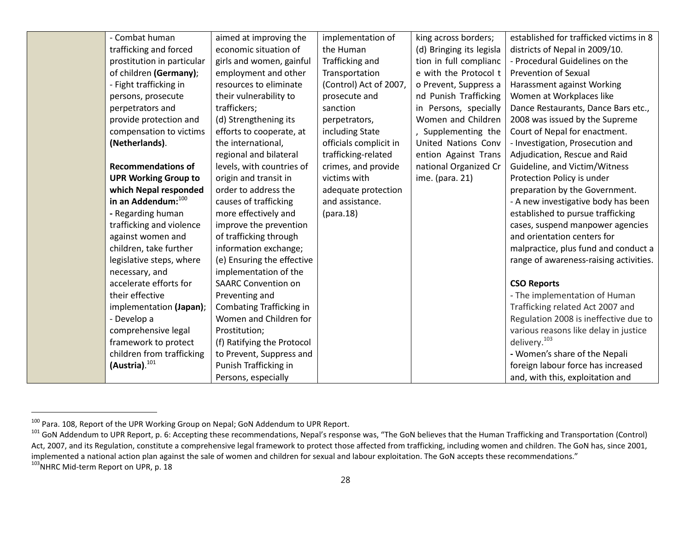| - Combat human              | aimed at improving the     | implementation of      | king across borders;     | established for trafficked victims in 8 |
|-----------------------------|----------------------------|------------------------|--------------------------|-----------------------------------------|
| trafficking and forced      | economic situation of      | the Human              | (d) Bringing its legisla | districts of Nepal in 2009/10.          |
| prostitution in particular  | girls and women, gainful   | Trafficking and        | tion in full complianc   | - Procedural Guidelines on the          |
| of children (Germany);      | employment and other       | Transportation         | e with the Protocol t    | <b>Prevention of Sexual</b>             |
| - Fight trafficking in      | resources to eliminate     | (Control) Act of 2007, | o Prevent, Suppress a    | Harassment against Working              |
| persons, prosecute          | their vulnerability to     | prosecute and          | nd Punish Trafficking    | Women at Workplaces like                |
| perpetrators and            | traffickers;               | sanction               | in Persons, specially    | Dance Restaurants, Dance Bars etc.,     |
| provide protection and      | (d) Strengthening its      | perpetrators,          | Women and Children       | 2008 was issued by the Supreme          |
| compensation to victims     | efforts to cooperate, at   | including State        | Supplementing the        | Court of Nepal for enactment.           |
| (Netherlands).              | the international,         | officials complicit in | United Nations Conv      | - Investigation, Prosecution and        |
|                             | regional and bilateral     | trafficking-related    | ention Against Trans     | Adjudication, Rescue and Raid           |
| <b>Recommendations of</b>   | levels, with countries of  | crimes, and provide    | national Organized Cr    | Guideline, and Victim/Witness           |
| <b>UPR Working Group to</b> | origin and transit in      | victims with           | ime. (para. 21)          | Protection Policy is under              |
| which Nepal responded       | order to address the       | adequate protection    |                          | preparation by the Government.          |
| in an Addendum: $^{100}$    | causes of trafficking      | and assistance.        |                          | - A new investigative body has been     |
| - Regarding human           | more effectively and       | (para.18)              |                          | established to pursue trafficking       |
| trafficking and violence    | improve the prevention     |                        |                          | cases, suspend manpower agencies        |
| against women and           | of trafficking through     |                        |                          | and orientation centers for             |
| children, take further      | information exchange;      |                        |                          | malpractice, plus fund and conduct a    |
| legislative steps, where    | (e) Ensuring the effective |                        |                          | range of awareness-raising activities.  |
| necessary, and              | implementation of the      |                        |                          |                                         |
| accelerate efforts for      | <b>SAARC Convention on</b> |                        |                          | <b>CSO Reports</b>                      |
| their effective             | Preventing and             |                        |                          | - The implementation of Human           |
| implementation (Japan);     | Combating Trafficking in   |                        |                          | Trafficking related Act 2007 and        |
| - Develop a                 | Women and Children for     |                        |                          | Regulation 2008 is ineffective due to   |
| comprehensive legal         | Prostitution;              |                        |                          | various reasons like delay in justice   |
| framework to protect        | (f) Ratifying the Protocol |                        |                          | delivery. <sup>103</sup>                |
| children from trafficking   | to Prevent, Suppress and   |                        |                          | - Women's share of the Nepali           |
| (Austria). <sup>101</sup>   | Punish Trafficking in      |                        |                          | foreign labour force has increased      |
|                             | Persons, especially        |                        |                          | and, with this, exploitation and        |

<sup>&</sup>lt;sup>100</sup> Para. 108, Report of the UPR Working Group on Nepal; GoN Addendum to UPR Report.<br><sup>101</sup> GoN Addendum to UPR Report, p. 6: Accepting these recommendations, Nepal's response was, "The GoN believes that the Human Traffic Act, 2007, and its Regulation, constitute a comprehensive legal framework to protect those affected from trafficking, including women and children. The GoN has, since 2001, implemented a national action plan against the sale of women and children for sexual and labour exploitation. The GoN accepts these recommendations."<br>
<sup>103</sup>NHRC Mid-term Report on UPR, p. 18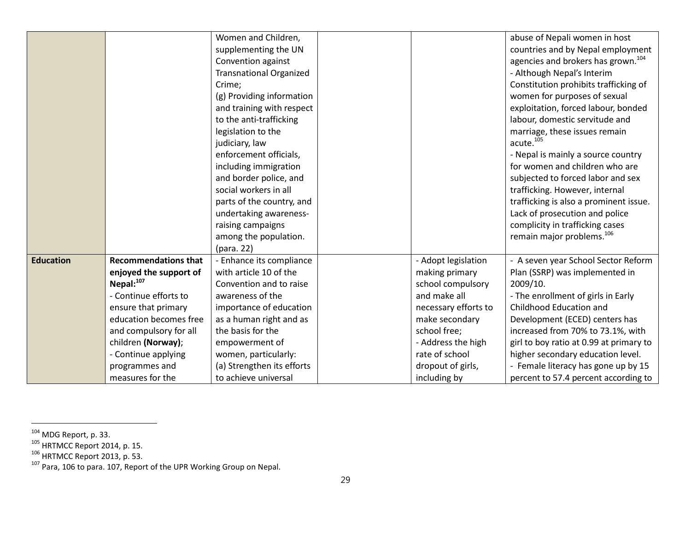|                  |                             | Women and Children,            |                      | abuse of Nepali women in host                  |
|------------------|-----------------------------|--------------------------------|----------------------|------------------------------------------------|
|                  |                             | supplementing the UN           |                      | countries and by Nepal employment              |
|                  |                             | Convention against             |                      | agencies and brokers has grown. <sup>104</sup> |
|                  |                             | <b>Transnational Organized</b> |                      | - Although Nepal's Interim                     |
|                  |                             | Crime;                         |                      | Constitution prohibits trafficking of          |
|                  |                             | (g) Providing information      |                      | women for purposes of sexual                   |
|                  |                             | and training with respect      |                      | exploitation, forced labour, bonded            |
|                  |                             | to the anti-trafficking        |                      | labour, domestic servitude and                 |
|                  |                             | legislation to the             |                      | marriage, these issues remain                  |
|                  |                             | judiciary, law                 |                      | acute. <sup>105</sup>                          |
|                  |                             | enforcement officials,         |                      | - Nepal is mainly a source country             |
|                  |                             | including immigration          |                      | for women and children who are                 |
|                  |                             | and border police, and         |                      | subjected to forced labor and sex              |
|                  |                             | social workers in all          |                      | trafficking. However, internal                 |
|                  |                             | parts of the country, and      |                      | trafficking is also a prominent issue.         |
|                  |                             | undertaking awareness-         |                      | Lack of prosecution and police                 |
|                  |                             | raising campaigns              |                      | complicity in trafficking cases                |
|                  |                             | among the population.          |                      | remain major problems. <sup>106</sup>          |
|                  |                             | (para. 22)                     |                      |                                                |
| <b>Education</b> | <b>Recommendations that</b> | - Enhance its compliance       | - Adopt legislation  | - A seven year School Sector Reform            |
|                  | enjoyed the support of      | with article 10 of the         | making primary       | Plan (SSRP) was implemented in                 |
|                  | Nepal: <sup>107</sup>       | Convention and to raise        | school compulsory    | 2009/10.                                       |
|                  | - Continue efforts to       | awareness of the               | and make all         | - The enrollment of girls in Early             |
|                  | ensure that primary         | importance of education        | necessary efforts to | Childhood Education and                        |
|                  | education becomes free      | as a human right and as        | make secondary       | Development (ECED) centers has                 |
|                  | and compulsory for all      | the basis for the              | school free;         | increased from 70% to 73.1%, with              |
|                  | children (Norway);          | empowerment of                 | - Address the high   | girl to boy ratio at 0.99 at primary to        |
|                  | - Continue applying         | women, particularly:           | rate of school       | higher secondary education level.              |
|                  | programmes and              | (a) Strengthen its efforts     | dropout of girls,    | - Female literacy has gone up by 15            |
|                  | measures for the            | to achieve universal           | including by         | percent to 57.4 percent according to           |

<sup>&</sup>lt;sup>104</sup> MDG Report, p. 33.<br><sup>105</sup> HRTMCC Report 2014, p. 15.<br><sup>106</sup> HRTMCC Report 2013, p. 53.<br><sup>107</sup> Para, 106 to para. 107, Report of the UPR Working Group on Nepal.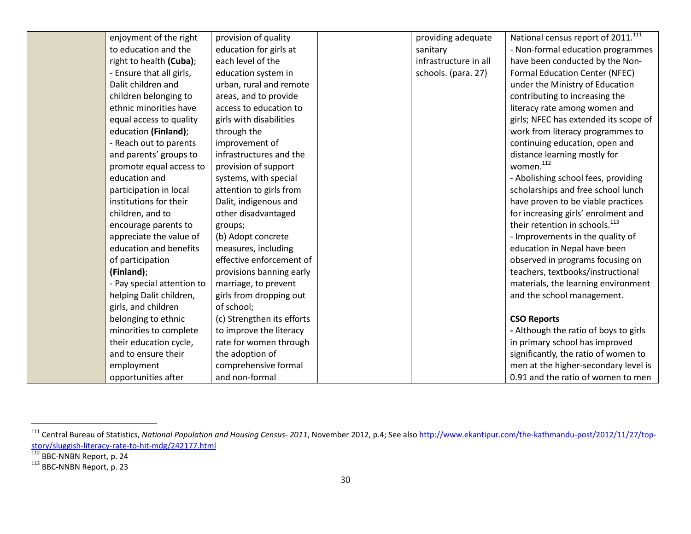| enjoyment of the right     | provision of quality       | providing adequate    | National census report of 2011. <sup>111</sup> |
|----------------------------|----------------------------|-----------------------|------------------------------------------------|
| to education and the       | education for girls at     | sanitary              | - Non-formal education programmes              |
| right to health (Cuba);    | each level of the          | infrastructure in all | have been conducted by the Non-                |
| - Ensure that all girls,   | education system in        | schools. (para. 27)   | Formal Education Center (NFEC)                 |
| Dalit children and         | urban, rural and remote    |                       | under the Ministry of Education                |
| children belonging to      | areas, and to provide      |                       | contributing to increasing the                 |
| ethnic minorities have     | access to education to     |                       | literacy rate among women and                  |
| equal access to quality    | girls with disabilities    |                       | girls; NFEC has extended its scope of          |
| education (Finland);       | through the                |                       | work from literacy programmes to               |
| - Reach out to parents     | improvement of             |                       | continuing education, open and                 |
| and parents' groups to     | infrastructures and the    |                       | distance learning mostly for                   |
| promote equal access to    | provision of support       |                       | women. <sup>112</sup>                          |
| education and              | systems, with special      |                       | - Abolishing school fees, providing            |
| participation in local     | attention to girls from    |                       | scholarships and free school lunch             |
| institutions for their     | Dalit, indigenous and      |                       | have proven to be viable practices             |
| children, and to           | other disadvantaged        |                       | for increasing girls' enrolment and            |
| encourage parents to       | groups;                    |                       | their retention in schools. <sup>113</sup>     |
| appreciate the value of    | (b) Adopt concrete         |                       | - Improvements in the quality of               |
| education and benefits     | measures, including        |                       | education in Nepal have been                   |
| of participation           | effective enforcement of   |                       | observed in programs focusing on               |
| (Finland);                 | provisions banning early   |                       | teachers, textbooks/instructional              |
| - Pay special attention to | marriage, to prevent       |                       | materials, the learning environment            |
| helping Dalit children,    | girls from dropping out    |                       | and the school management.                     |
| girls, and children        | of school;                 |                       |                                                |
| belonging to ethnic        | (c) Strengthen its efforts |                       | <b>CSO Reports</b>                             |
| minorities to complete     | to improve the literacy    |                       | - Although the ratio of boys to girls          |
| their education cycle,     | rate for women through     |                       | in primary school has improved                 |
| and to ensure their        | the adoption of            |                       | significantly, the ratio of women to           |
| employment                 | comprehensive formal       |                       | men at the higher-secondary level is           |
| opportunities after        | and non-formal             |                       | 0.91 and the ratio of women to men             |

<sup>&</sup>lt;sup>111</sup> Central Bureau of Statistics, National Population and Housing Census- 2011, November 2012, p.4; See also http://www.ekantipur.com/the-kathmandu-post/2012/11/27/topstory/sluggish-literacy-rate-to-hit-mdg/242177.html

<sup>&</sup>lt;sup>112</sup> BBC-NNBN Report, p. 24<br><sup>113</sup> BBC-NNBN Report, p. 23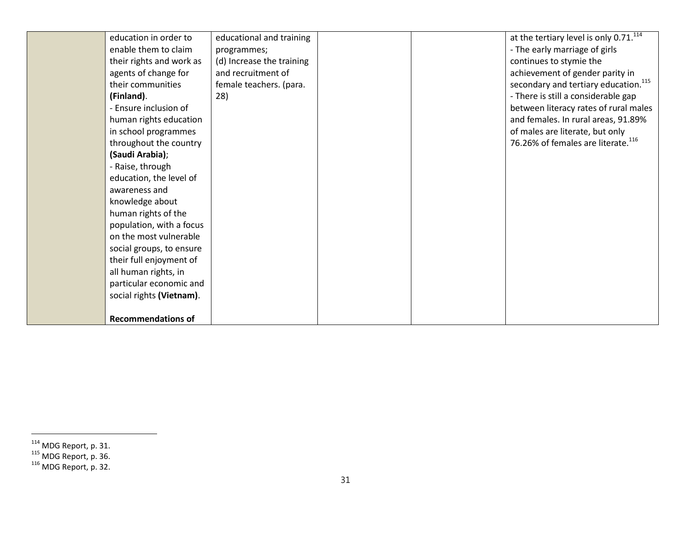| education in order to     | educational and training  |  | at the tertiary level is only $0.71$ . $114$     |
|---------------------------|---------------------------|--|--------------------------------------------------|
| enable them to claim      | programmes;               |  | - The early marriage of girls                    |
| their rights and work as  | (d) Increase the training |  | continues to stymie the                          |
| agents of change for      | and recruitment of        |  | achievement of gender parity in                  |
| their communities         | female teachers. (para.   |  | secondary and tertiary education. <sup>115</sup> |
| (Finland).                | 28)                       |  | - There is still a considerable gap              |
| - Ensure inclusion of     |                           |  | between literacy rates of rural males            |
| human rights education    |                           |  | and females. In rural areas, 91.89%              |
| in school programmes      |                           |  | of males are literate, but only                  |
| throughout the country    |                           |  | 76.26% of females are literate. <sup>116</sup>   |
| (Saudi Arabia);           |                           |  |                                                  |
| - Raise, through          |                           |  |                                                  |
| education, the level of   |                           |  |                                                  |
| awareness and             |                           |  |                                                  |
| knowledge about           |                           |  |                                                  |
| human rights of the       |                           |  |                                                  |
| population, with a focus  |                           |  |                                                  |
| on the most vulnerable    |                           |  |                                                  |
| social groups, to ensure  |                           |  |                                                  |
| their full enjoyment of   |                           |  |                                                  |
| all human rights, in      |                           |  |                                                  |
| particular economic and   |                           |  |                                                  |
| social rights (Vietnam).  |                           |  |                                                  |
|                           |                           |  |                                                  |
| <b>Recommendations of</b> |                           |  |                                                  |

<sup>&</sup>lt;sup>114</sup> MDG Report, p. 31.<br><sup>115</sup> MDG Report, p. 36.<br><sup>116</sup> MDG Report, p. 32.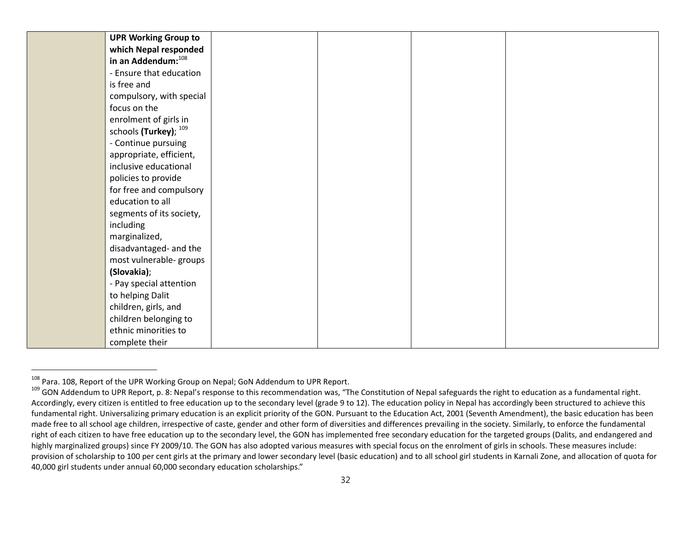| <b>UPR Working Group to</b> |  |  |
|-----------------------------|--|--|
| which Nepal responded       |  |  |
| in an Addendum: 108         |  |  |
| - Ensure that education     |  |  |
| is free and                 |  |  |
| compulsory, with special    |  |  |
| focus on the                |  |  |
| enrolment of girls in       |  |  |
| schools (Turkey); 109       |  |  |
| - Continue pursuing         |  |  |
| appropriate, efficient,     |  |  |
| inclusive educational       |  |  |
| policies to provide         |  |  |
| for free and compulsory     |  |  |
| education to all            |  |  |
| segments of its society,    |  |  |
| including                   |  |  |
| marginalized,               |  |  |
| disadvantaged- and the      |  |  |
| most vulnerable- groups     |  |  |
| (Slovakia);                 |  |  |
| - Pay special attention     |  |  |
| to helping Dalit            |  |  |
| children, girls, and        |  |  |
| children belonging to       |  |  |
| ethnic minorities to        |  |  |
| complete their              |  |  |

<sup>&</sup>lt;sup>108</sup> Para. 108, Report of the UPR Working Group on Nepal; GoN Addendum to UPR Report.<br><sup>109</sup> GON Addendum to UPR Report, p. 8: Nepal's response to this recommendation was, "The Constitution of Nepal safeguards the right to Accordingly, every citizen is entitled to free education up to the secondary level (grade 9 to 12). The education policy in Nepal has accordingly been structured to achieve this fundamental right. Universalizing primary education is an explicit priority of the GON. Pursuant to the Education Act, 2001 (Seventh Amendment), the basic education has been made free to all school age children, irrespective of caste, gender and other form of diversities and differences prevailing in the society. Similarly, to enforce the fundamental right of each citizen to have free education up to the secondary level, the GON has implemented free secondary education for the targeted groups (Dalits, and endangered and highly marginalized groups) since FY 2009/10. The GON has also adopted various measures with special focus on the enrolment of girls in schools. These measures include: provision of scholarship to 100 per cent girls at the primary and lower secondary level (basic education) and to all school girl students in Karnali Zone, and allocation of quota for 40,000 girl students under annual 60,000 secondary education scholarships."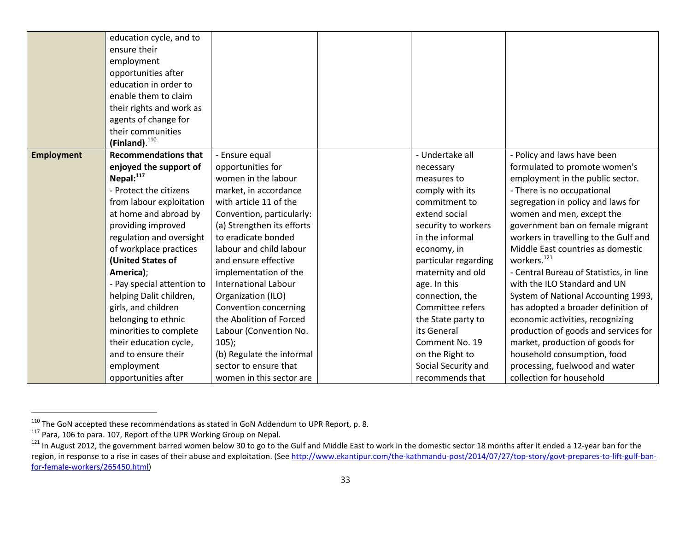|                   | education cycle, and to     |                             |                      |                                         |
|-------------------|-----------------------------|-----------------------------|----------------------|-----------------------------------------|
|                   | ensure their                |                             |                      |                                         |
|                   | employment                  |                             |                      |                                         |
|                   | opportunities after         |                             |                      |                                         |
|                   | education in order to       |                             |                      |                                         |
|                   | enable them to claim        |                             |                      |                                         |
|                   | their rights and work as    |                             |                      |                                         |
|                   | agents of change for        |                             |                      |                                         |
|                   | their communities           |                             |                      |                                         |
|                   | $(Finland).$ <sup>110</sup> |                             |                      |                                         |
| <b>Employment</b> | <b>Recommendations that</b> | - Ensure equal              | - Undertake all      | - Policy and laws have been             |
|                   | enjoyed the support of      | opportunities for           | necessary            | formulated to promote women's           |
|                   | Nepal: <sup>117</sup>       | women in the labour         | measures to          | employment in the public sector.        |
|                   | - Protect the citizens      | market, in accordance       | comply with its      | - There is no occupational              |
|                   | from labour exploitation    | with article 11 of the      | commitment to        | segregation in policy and laws for      |
|                   | at home and abroad by       | Convention, particularly:   | extend social        | women and men, except the               |
|                   | providing improved          | (a) Strengthen its efforts  | security to workers  | government ban on female migrant        |
|                   | regulation and oversight    | to eradicate bonded         | in the informal      | workers in travelling to the Gulf and   |
|                   | of workplace practices      | labour and child labour     | economy, in          | Middle East countries as domestic       |
|                   | (United States of           | and ensure effective        | particular regarding | workers. <sup>121</sup>                 |
|                   | America);                   | implementation of the       | maternity and old    | - Central Bureau of Statistics, in line |
|                   | - Pay special attention to  | <b>International Labour</b> | age. In this         | with the ILO Standard and UN            |
|                   | helping Dalit children,     | Organization (ILO)          | connection, the      | System of National Accounting 1993,     |
|                   | girls, and children         | Convention concerning       | Committee refers     | has adopted a broader definition of     |
|                   | belonging to ethnic         | the Abolition of Forced     | the State party to   | economic activities, recognizing        |
|                   | minorities to complete      | Labour (Convention No.      | its General          | production of goods and services for    |
|                   | their education cycle,      | $105$ ;                     | Comment No. 19       | market, production of goods for         |
|                   | and to ensure their         | (b) Regulate the informal   | on the Right to      | household consumption, food             |
|                   | employment                  | sector to ensure that       | Social Security and  | processing, fuelwood and water          |
|                   | opportunities after         | women in this sector are    | recommends that      | collection for household                |

<sup>&</sup>lt;sup>110</sup> The GoN accepted these recommendations as stated in GoN Addendum to UPR Report, p. 8.<br><sup>117</sup> Para, 106 to para. 107, Report of the UPR Working Group on Nepal.

<sup>&</sup>lt;sup>121</sup> In August 2012, the government barred women below 30 to go to the Gulf and Middle East to work in the domestic sector 18 months after it ended a 12-year ban for the region, in response to a rise in cases of their abuse and exploitation. (See http://www.ekantipur.com/the-kathmandu-post/2014/07/27/top-story/govt-prepares-to-lift-gulf-banfor-female-workers/265450.html)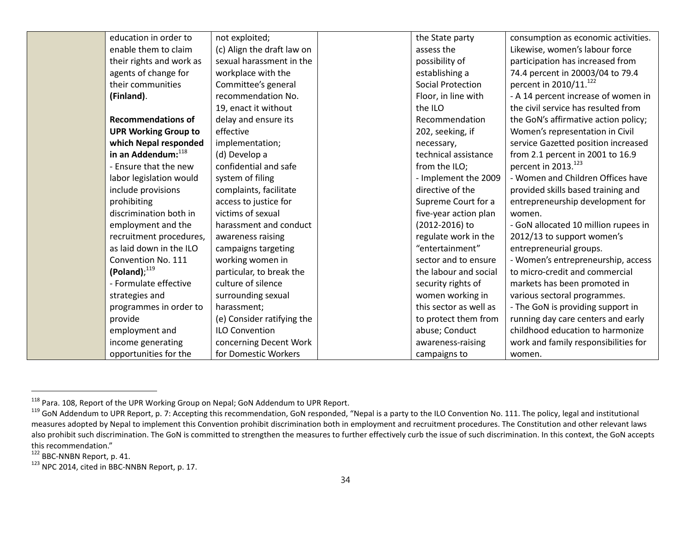| education in order to       | not exploited;             | the State party          | consumption as economic activities.  |
|-----------------------------|----------------------------|--------------------------|--------------------------------------|
| enable them to claim        | (c) Align the draft law on | assess the               | Likewise, women's labour force       |
| their rights and work as    | sexual harassment in the   | possibility of           | participation has increased from     |
| agents of change for        | workplace with the         | establishing a           | 74.4 percent in 20003/04 to 79.4     |
| their communities           | Committee's general        | <b>Social Protection</b> | percent in 2010/11. <sup>122</sup>   |
| (Finland).                  | recommendation No.         | Floor, in line with      | - A 14 percent increase of women in  |
|                             | 19, enact it without       | the ILO                  | the civil service has resulted from  |
| <b>Recommendations of</b>   | delay and ensure its       | Recommendation           | the GoN's affirmative action policy; |
| <b>UPR Working Group to</b> | effective                  | 202, seeking, if         | Women's representation in Civil      |
| which Nepal responded       | implementation;            | necessary,               | service Gazetted position increased  |
| in an Addendum: 118         | (d) Develop a              | technical assistance     | from 2.1 percent in 2001 to 16.9     |
| - Ensure that the new       | confidential and safe      | from the ILO;            | percent in 2013. <sup>123</sup>      |
| labor legislation would     | system of filing           | - Implement the 2009     | - Women and Children Offices have    |
| include provisions          | complaints, facilitate     | directive of the         | provided skills based training and   |
| prohibiting                 | access to justice for      | Supreme Court for a      | entrepreneurship development for     |
| discrimination both in      | victims of sexual          | five-year action plan    | women.                               |
| employment and the          | harassment and conduct     | (2012-2016) to           | - GoN allocated 10 million rupees in |
| recruitment procedures,     | awareness raising          | regulate work in the     | 2012/13 to support women's           |
| as laid down in the ILO     | campaigns targeting        | "entertainment"          | entrepreneurial groups.              |
| Convention No. 111          | working women in           | sector and to ensure     | - Women's entrepreneurship, access   |
| (Poland) <sup>119</sup>     | particular, to break the   | the labour and social    | to micro-credit and commercial       |
| - Formulate effective       | culture of silence         | security rights of       | markets has been promoted in         |
| strategies and              | surrounding sexual         | women working in         | various sectoral programmes.         |
| programmes in order to      | harassment;                | this sector as well as   | - The GoN is providing support in    |
| provide                     | (e) Consider ratifying the | to protect them from     | running day care centers and early   |
| employment and              | <b>ILO Convention</b>      | abuse; Conduct           | childhood education to harmonize     |
| income generating           | concerning Decent Work     | awareness-raising        | work and family responsibilities for |
| opportunities for the       | for Domestic Workers       | campaigns to             | women.                               |

<sup>&</sup>lt;sup>118</sup> Para. 108, Report of the UPR Working Group on Nepal; GoN Addendum to UPR Report.<br><sup>119</sup> GoN Addendum to UPR Report, p. 7: Accepting this recommendation, GoN responded, "Nepal is a party to the ILO Convention No. 111. measures adopted by Nepal to implement this Convention prohibit discrimination both in employment and recruitment procedures. The Constitution and other relevant laws also prohibit such discrimination. The GoN is committed to strengthen the measures to further effectively curb the issue of such discrimination. In this context, the GoN accepts this recommendation."<br>
<sup>122</sup> BBC-NNBN Report, p. 41.

 $123$  NPC 2014, cited in BBC-NNBN Report, p. 17.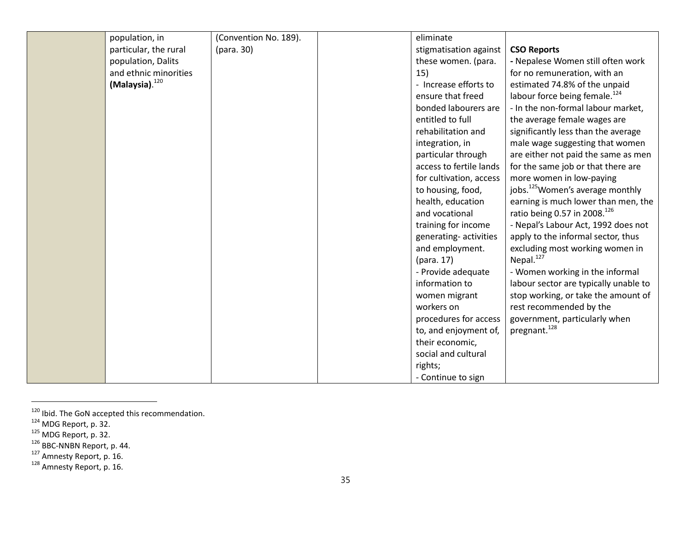| population, in             | (Convention No. 189). | eliminate               |                                              |
|----------------------------|-----------------------|-------------------------|----------------------------------------------|
| particular, the rural      | (para. 30)            | stigmatisation against  | <b>CSO Reports</b>                           |
| population, Dalits         |                       | these women. (para.     | - Nepalese Women still often work            |
| and ethnic minorities      |                       | 15)                     | for no remuneration, with an                 |
| (Malaysia). <sup>120</sup> |                       | - Increase efforts to   | estimated 74.8% of the unpaid                |
|                            |                       | ensure that freed       | labour force being female. <sup>124</sup>    |
|                            |                       | bonded labourers are    | - In the non-formal labour market,           |
|                            |                       | entitled to full        | the average female wages are                 |
|                            |                       | rehabilitation and      | significantly less than the average          |
|                            |                       | integration, in         | male wage suggesting that women              |
|                            |                       | particular through      | are either not paid the same as men          |
|                            |                       | access to fertile lands | for the same job or that there are           |
|                            |                       | for cultivation, access | more women in low-paying                     |
|                            |                       | to housing, food,       | jobs. <sup>125</sup> Women's average monthly |
|                            |                       | health, education       | earning is much lower than men, the          |
|                            |                       | and vocational          | ratio being 0.57 in 2008. <sup>126</sup>     |
|                            |                       | training for income     | - Nepal's Labour Act, 1992 does not          |
|                            |                       | generating-activities   | apply to the informal sector, thus           |
|                            |                       | and employment.         | excluding most working women in              |
|                            |                       | (para. 17)              | Nepal. <sup>127</sup>                        |
|                            |                       | - Provide adequate      | - Women working in the informal              |
|                            |                       | information to          | labour sector are typically unable to        |
|                            |                       | women migrant           | stop working, or take the amount of          |
|                            |                       | workers on              | rest recommended by the                      |
|                            |                       | procedures for access   | government, particularly when                |
|                            |                       | to, and enjoyment of,   | pregnant. <sup>128</sup>                     |
|                            |                       | their economic,         |                                              |
|                            |                       | social and cultural     |                                              |
|                            |                       | rights;                 |                                              |
|                            |                       | - Continue to sign      |                                              |

<sup>&</sup>lt;sup>120</sup> Ibid. The GoN accepted this recommendation.<br><sup>124</sup> MDG Report, p. 32.<br><sup>125</sup> MDG Report, p. 32.<br><sup>126</sup> BBC-NNBN Report, p. 44.<br><sup>127</sup> Amnesty Report, p. 16. 1<sup>28</sup> Amnesty Report, p. 16.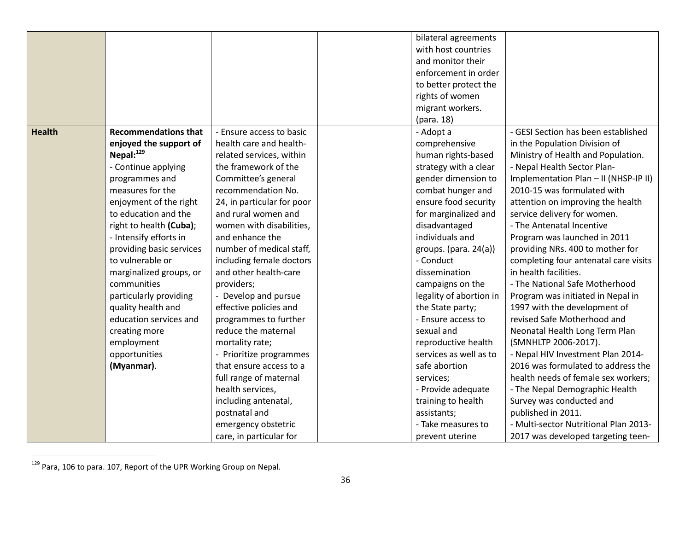|               |                             |                            | bilateral agreements    |                                       |
|---------------|-----------------------------|----------------------------|-------------------------|---------------------------------------|
|               |                             |                            | with host countries     |                                       |
|               |                             |                            | and monitor their       |                                       |
|               |                             |                            | enforcement in order    |                                       |
|               |                             |                            | to better protect the   |                                       |
|               |                             |                            | rights of women         |                                       |
|               |                             |                            | migrant workers.        |                                       |
|               |                             |                            | (para. 18)              |                                       |
| <b>Health</b> | <b>Recommendations that</b> | - Ensure access to basic   | - Adopt a               | - GESI Section has been established   |
|               | enjoyed the support of      | health care and health-    | comprehensive           | in the Population Division of         |
|               | Nepal: <sup>129</sup>       | related services, within   | human rights-based      | Ministry of Health and Population.    |
|               | - Continue applying         | the framework of the       | strategy with a clear   | - Nepal Health Sector Plan-           |
|               | programmes and              | Committee's general        | gender dimension to     | Implementation Plan - II (NHSP-IP II) |
|               | measures for the            | recommendation No.         | combat hunger and       | 2010-15 was formulated with           |
|               | enjoyment of the right      | 24, in particular for poor | ensure food security    | attention on improving the health     |
|               | to education and the        | and rural women and        | for marginalized and    | service delivery for women.           |
|               | right to health (Cuba);     | women with disabilities,   | disadvantaged           | - The Antenatal Incentive             |
|               | - Intensify efforts in      | and enhance the            | individuals and         | Program was launched in 2011          |
|               | providing basic services    | number of medical staff,   | groups. (para. 24(a))   | providing NRs. 400 to mother for      |
|               | to vulnerable or            | including female doctors   | - Conduct               | completing four antenatal care visits |
|               | marginalized groups, or     | and other health-care      | dissemination           | in health facilities.                 |
|               | communities                 | providers;                 | campaigns on the        | - The National Safe Motherhood        |
|               | particularly providing      | - Develop and pursue       | legality of abortion in | Program was initiated in Nepal in     |
|               | quality health and          | effective policies and     | the State party;        | 1997 with the development of          |
|               | education services and      | programmes to further      | - Ensure access to      | revised Safe Motherhood and           |
|               | creating more               | reduce the maternal        | sexual and              | Neonatal Health Long Term Plan        |
|               | employment                  | mortality rate;            | reproductive health     | (SMNHLTP 2006-2017).                  |
|               | opportunities               | - Prioritize programmes    | services as well as to  | - Nepal HIV Investment Plan 2014-     |
|               |                             | that ensure access to a    | safe abortion           | 2016 was formulated to address the    |
|               | (Myanmar).                  |                            |                         | health needs of female sex workers;   |
|               |                             | full range of maternal     | services;               |                                       |
|               |                             | health services,           | - Provide adequate      | - The Nepal Demographic Health        |
|               |                             | including antenatal,       | training to health      | Survey was conducted and              |
|               |                             | postnatal and              | assistants;             | published in 2011.                    |
|               |                             | emergency obstetric        | - Take measures to      | - Multi-sector Nutritional Plan 2013- |
|               |                             | care, in particular for    | prevent uterine         | 2017 was developed targeting teen-    |

<sup>&</sup>lt;sup>129</sup> Para, 106 to para. 107, Report of the UPR Working Group on Nepal.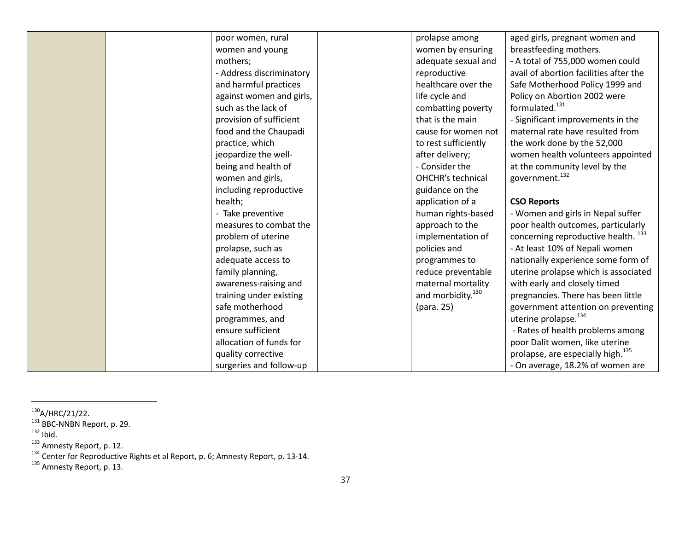|  | poor women, rural        | prolapse among                | aged girls, pregnant women and                 |
|--|--------------------------|-------------------------------|------------------------------------------------|
|  | women and young          | women by ensuring             | breastfeeding mothers.                         |
|  | mothers;                 | adequate sexual and           | - A total of 755,000 women could               |
|  | - Address discriminatory | reproductive                  | avail of abortion facilities after the         |
|  | and harmful practices    | healthcare over the           | Safe Motherhood Policy 1999 and                |
|  | against women and girls, | life cycle and                | Policy on Abortion 2002 were                   |
|  | such as the lack of      | combatting poverty            | formulated. <sup>131</sup>                     |
|  | provision of sufficient  | that is the main              | - Significant improvements in the              |
|  | food and the Chaupadi    | cause for women not           | maternal rate have resulted from               |
|  | practice, which          | to rest sufficiently          | the work done by the 52,000                    |
|  | jeopardize the well-     | after delivery;               | women health volunteers appointed              |
|  | being and health of      | - Consider the                | at the community level by the                  |
|  | women and girls,         | OHCHR's technical             | government. <sup>132</sup>                     |
|  | including reproductive   | guidance on the               |                                                |
|  | health;                  | application of a              | <b>CSO Reports</b>                             |
|  | - Take preventive        | human rights-based            | - Women and girls in Nepal suffer              |
|  | measures to combat the   | approach to the               | poor health outcomes, particularly             |
|  | problem of uterine       | implementation of             | concerning reproductive health. <sup>133</sup> |
|  | prolapse, such as        | policies and                  | - At least 10% of Nepali women                 |
|  | adequate access to       | programmes to                 | nationally experience some form of             |
|  | family planning,         | reduce preventable            | uterine prolapse which is associated           |
|  | awareness-raising and    | maternal mortality            | with early and closely timed                   |
|  | training under existing  | and morbidity. <sup>130</sup> | pregnancies. There has been little             |
|  | safe motherhood          | (para. 25)                    | government attention on preventing             |
|  | programmes, and          |                               | uterine prolapse. <sup>134</sup>               |
|  | ensure sufficient        |                               | - Rates of health problems among               |
|  | allocation of funds for  |                               | poor Dalit women, like uterine                 |
|  | quality corrective       |                               | prolapse, are especially high. <sup>135</sup>  |
|  | surgeries and follow-up  |                               | - On average, 18.2% of women are               |

<sup>&</sup>lt;sup>130</sup>A/HRC/21/22.<br><sup>131</sup> BBC-NNBN Report, p. 29.<br><sup>132</sup> Ibid.<br><sup>133</sup> Amnesty Report, p. 12.<br><sup>134</sup> Center for Reproductive Rights et al Report, p. 6; Amnesty Report, p. 13-14.<br><sup>135</sup> Amnesty Report, p. 13.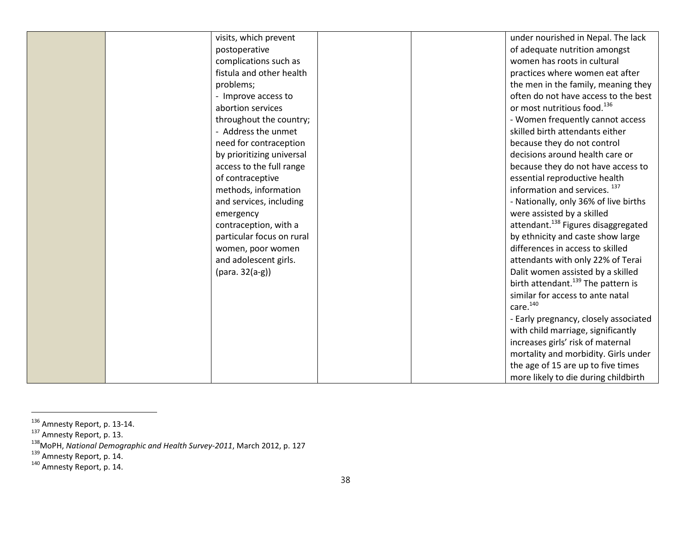| visits, which prevent     |  | under nourished in Nepal. The lack              |
|---------------------------|--|-------------------------------------------------|
| postoperative             |  | of adequate nutrition amongst                   |
| complications such as     |  | women has roots in cultural                     |
| fistula and other health  |  | practices where women eat after                 |
| problems;                 |  | the men in the family, meaning they             |
| - Improve access to       |  | often do not have access to the best            |
| abortion services         |  | or most nutritious food. <sup>136</sup>         |
| throughout the country;   |  | - Women frequently cannot access                |
| - Address the unmet       |  | skilled birth attendants either                 |
| need for contraception    |  | because they do not control                     |
| by prioritizing universal |  | decisions around health care or                 |
| access to the full range  |  | because they do not have access to              |
| of contraceptive          |  | essential reproductive health                   |
| methods, information      |  | information and services. <sup>137</sup>        |
| and services, including   |  | - Nationally, only 36% of live births           |
| emergency                 |  | were assisted by a skilled                      |
| contraception, with a     |  | attendant. <sup>138</sup> Figures disaggregated |
| particular focus on rural |  | by ethnicity and caste show large               |
| women, poor women         |  | differences in access to skilled                |
| and adolescent girls.     |  | attendants with only 22% of Terai               |
| (para. 32(a-g))           |  | Dalit women assisted by a skilled               |
|                           |  | birth attendant. <sup>139</sup> The pattern is  |
|                           |  | similar for access to ante natal                |
|                           |  | care. <sup>140</sup>                            |
|                           |  | - Early pregnancy, closely associated           |
|                           |  | with child marriage, significantly              |
|                           |  | increases girls' risk of maternal               |
|                           |  | mortality and morbidity. Girls under            |
|                           |  | the age of 15 are up to five times              |
|                           |  | more likely to die during childbirth            |

<sup>&</sup>lt;sup>136</sup> Amnesty Report, p. 13-14.<br><sup>137</sup> Amnesty Report, p. 13.<br><sup>138</sup> MoPH, *National Demographic and Health Survey-2011*, March 2012, p. 127<br><sup>139</sup> Amnesty Report, p. 14.<br><sup>140</sup> Amnesty Report, p. 14.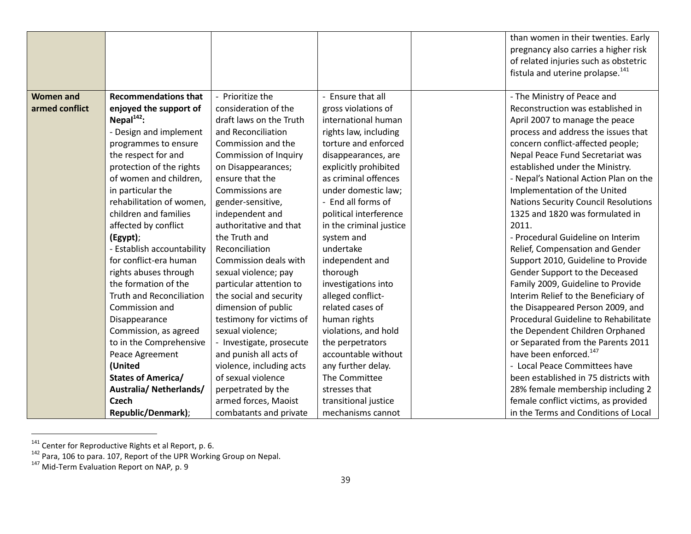|                  |                                 |                              |                         | than women in their twenties. Early          |
|------------------|---------------------------------|------------------------------|-------------------------|----------------------------------------------|
|                  |                                 |                              |                         | pregnancy also carries a higher risk         |
|                  |                                 |                              |                         | of related injuries such as obstetric        |
|                  |                                 |                              |                         | fistula and uterine prolapse. <sup>141</sup> |
|                  |                                 |                              |                         |                                              |
| <b>Women and</b> | <b>Recommendations that</b>     | - Prioritize the             | - Ensure that all       | - The Ministry of Peace and                  |
| armed conflict   | enjoyed the support of          | consideration of the         | gross violations of     | Reconstruction was established in            |
|                  | Nepal $^{142}$ :                | draft laws on the Truth      | international human     | April 2007 to manage the peace               |
|                  | - Design and implement          | and Reconciliation           | rights law, including   | process and address the issues that          |
|                  | programmes to ensure            | Commission and the           | torture and enforced    | concern conflict-affected people;            |
|                  | the respect for and             | <b>Commission of Inquiry</b> | disappearances, are     | Nepal Peace Fund Secretariat was             |
|                  | protection of the rights        | on Disappearances;           | explicitly prohibited   | established under the Ministry.              |
|                  | of women and children,          | ensure that the              | as criminal offences    | - Nepal's National Action Plan on the        |
|                  | in particular the               | Commissions are              | under domestic law;     | Implementation of the United                 |
|                  | rehabilitation of women,        | gender-sensitive,            | - End all forms of      | <b>Nations Security Council Resolutions</b>  |
|                  | children and families           | independent and              | political interference  | 1325 and 1820 was formulated in              |
|                  | affected by conflict            | authoritative and that       | in the criminal justice | 2011.                                        |
|                  | (Egypt);                        | the Truth and                | system and              | - Procedural Guideline on Interim            |
|                  | - Establish accountability      | Reconciliation               | undertake               | Relief, Compensation and Gender              |
|                  | for conflict-era human          | Commission deals with        | independent and         | Support 2010, Guideline to Provide           |
|                  | rights abuses through           | sexual violence; pay         | thorough                | Gender Support to the Deceased               |
|                  | the formation of the            | particular attention to      | investigations into     | Family 2009, Guideline to Provide            |
|                  | <b>Truth and Reconciliation</b> | the social and security      | alleged conflict-       | Interim Relief to the Beneficiary of         |
|                  | Commission and                  | dimension of public          | related cases of        | the Disappeared Person 2009, and             |
|                  | Disappearance                   | testimony for victims of     | human rights            | Procedural Guideline to Rehabilitate         |
|                  | Commission, as agreed           | sexual violence;             | violations, and hold    | the Dependent Children Orphaned              |
|                  | to in the Comprehensive         | - Investigate, prosecute     | the perpetrators        | or Separated from the Parents 2011           |
|                  | Peace Agreement                 | and punish all acts of       | accountable without     | have been enforced. <sup>147</sup>           |
|                  | (United                         | violence, including acts     | any further delay.      | - Local Peace Committees have                |
|                  | <b>States of America/</b>       | of sexual violence           | The Committee           | been established in 75 districts with        |
|                  | Australia/Netherlands/          | perpetrated by the           | stresses that           | 28% female membership including 2            |
|                  | <b>Czech</b>                    | armed forces, Maoist         | transitional justice    | female conflict victims, as provided         |
|                  | Republic/Denmark);              | combatants and private       | mechanisms cannot       | in the Terms and Conditions of Local         |

<sup>&</sup>lt;sup>141</sup> Center for Reproductive Rights et al Report, p. 6.<br><sup>142</sup> Para, 106 to para. 107, Report of the UPR Working Group on Nepal.<br><sup>147</sup> Mid-Term Evaluation Report on NAP, p. 9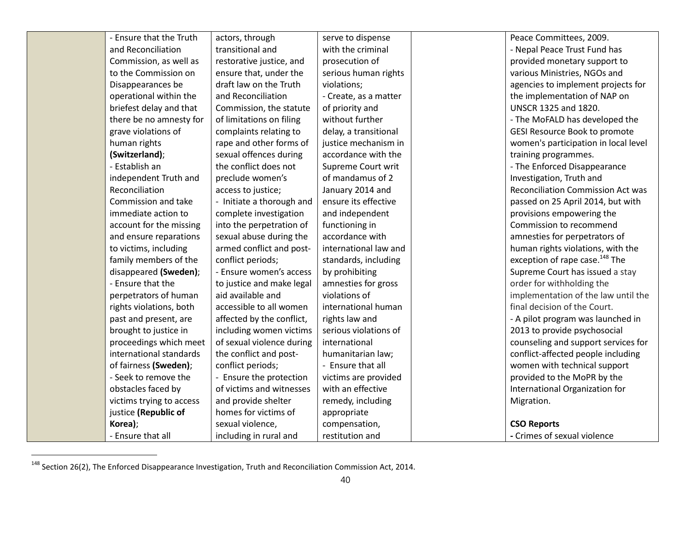| - Ensure that the Truth  | actors, through           | serve to dispense     | Peace Committees, 2009.                    |
|--------------------------|---------------------------|-----------------------|--------------------------------------------|
| and Reconciliation       | transitional and          | with the criminal     | - Nepal Peace Trust Fund has               |
| Commission, as well as   | restorative justice, and  | prosecution of        | provided monetary support to               |
| to the Commission on     | ensure that, under the    | serious human rights  | various Ministries, NGOs and               |
| Disappearances be        | draft law on the Truth    | violations;           | agencies to implement projects for         |
| operational within the   | and Reconciliation        | - Create, as a matter | the implementation of NAP on               |
| briefest delay and that  | Commission, the statute   | of priority and       | <b>UNSCR 1325 and 1820.</b>                |
| there be no amnesty for  | of limitations on filing  | without further       | - The MoFALD has developed the             |
| grave violations of      | complaints relating to    | delay, a transitional | GESI Resource Book to promote              |
| human rights             | rape and other forms of   | justice mechanism in  | women's participation in local level       |
| (Switzerland);           | sexual offences during    | accordance with the   | training programmes.                       |
| - Establish an           | the conflict does not     | Supreme Court writ    | - The Enforced Disappearance               |
| independent Truth and    | preclude women's          | of mandamus of 2      | Investigation, Truth and                   |
| Reconciliation           | access to justice;        | January 2014 and      | Reconciliation Commission Act was          |
| Commission and take      | - Initiate a thorough and | ensure its effective  | passed on 25 April 2014, but with          |
| immediate action to      | complete investigation    | and independent       | provisions empowering the                  |
| account for the missing  | into the perpetration of  | functioning in        | Commission to recommend                    |
| and ensure reparations   | sexual abuse during the   | accordance with       | amnesties for perpetrators of              |
| to victims, including    | armed conflict and post-  | international law and | human rights violations, with the          |
| family members of the    | conflict periods;         | standards, including  | exception of rape case. <sup>148</sup> The |
| disappeared (Sweden);    | - Ensure women's access   | by prohibiting        | Supreme Court has issued a stay            |
| - Ensure that the        | to justice and make legal | amnesties for gross   | order for withholding the                  |
| perpetrators of human    | aid available and         | violations of         | implementation of the law until the        |
| rights violations, both  | accessible to all women   | international human   | final decision of the Court.               |
| past and present, are    | affected by the conflict, | rights law and        | - A pilot program was launched in          |
| brought to justice in    | including women victims   | serious violations of | 2013 to provide psychosocial               |
| proceedings which meet   | of sexual violence during | international         | counseling and support services for        |
| international standards  | the conflict and post-    | humanitarian law;     | conflict-affected people including         |
| of fairness (Sweden);    | conflict periods;         | - Ensure that all     | women with technical support               |
| - Seek to remove the     | - Ensure the protection   | victims are provided  | provided to the MoPR by the                |
| obstacles faced by       | of victims and witnesses  | with an effective     | International Organization for             |
| victims trying to access | and provide shelter       | remedy, including     | Migration.                                 |
| justice (Republic of     | homes for victims of      | appropriate           |                                            |
| Korea);                  | sexual violence,          | compensation,         | <b>CSO Reports</b>                         |
| - Ensure that all        | including in rural and    | restitution and       | - Crimes of sexual violence                |

<sup>&</sup>lt;sup>148</sup> Section 26(2), The Enforced Disappearance Investigation, Truth and Reconciliation Commission Act, 2014.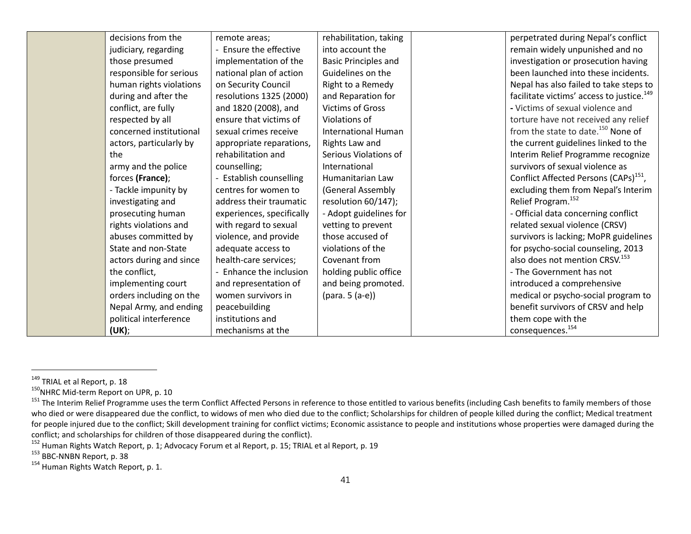| decisions from the      | remote areas;                | rehabilitation, taking      | perpetrated during Nepal's conflict                   |
|-------------------------|------------------------------|-----------------------------|-------------------------------------------------------|
| judiciary, regarding    | Ensure the effective         | into account the            | remain widely unpunished and no                       |
| those presumed          | implementation of the        | <b>Basic Principles and</b> | investigation or prosecution having                   |
| responsible for serious | national plan of action      | Guidelines on the           | been launched into these incidents.                   |
| human rights violations | on Security Council          | Right to a Remedy           | Nepal has also failed to take steps to                |
| during and after the    | resolutions 1325 (2000)      | and Reparation for          | facilitate victims' access to justice. <sup>149</sup> |
| conflict, are fully     | and 1820 (2008), and         | <b>Victims of Gross</b>     | - Victims of sexual violence and                      |
| respected by all        | ensure that victims of       | Violations of               | torture have not received any relief                  |
| concerned institutional | sexual crimes receive        | <b>International Human</b>  | from the state to date. <sup>150</sup> None of        |
| actors, particularly by | appropriate reparations,     | Rights Law and              | the current guidelines linked to the                  |
| the                     | rehabilitation and           | Serious Violations of       | Interim Relief Programme recognize                    |
| army and the police     | counselling;                 | International               | survivors of sexual violence as                       |
| forces (France);        | <b>Establish counselling</b> | Humanitarian Law            | Conflict Affected Persons (CAPs) <sup>151</sup> ,     |
| - Tackle impunity by    | centres for women to         | (General Assembly           | excluding them from Nepal's Interim                   |
| investigating and       | address their traumatic      | resolution 60/147);         | Relief Program. <sup>152</sup>                        |
| prosecuting human       | experiences, specifically    | - Adopt guidelines for      | - Official data concerning conflict                   |
| rights violations and   | with regard to sexual        | vetting to prevent          | related sexual violence (CRSV)                        |
| abuses committed by     | violence, and provide        | those accused of            | survivors is lacking; MoPR guidelines                 |
| State and non-State     | adequate access to           | violations of the           | for psycho-social counseling, 2013                    |
| actors during and since | health-care services;        | Covenant from               | also does not mention CRSV. <sup>153</sup>            |
| the conflict,           | - Enhance the inclusion      | holding public office       | - The Government has not                              |
| implementing court      | and representation of        | and being promoted.         | introduced a comprehensive                            |
| orders including on the | women survivors in           | (para. 5 (a-e))             | medical or psycho-social program to                   |
| Nepal Army, and ending  | peacebuilding                |                             | benefit survivors of CRSV and help                    |
| political interference  | institutions and             |                             | them cope with the                                    |
| (UK);                   | mechanisms at the            |                             | consequences. <sup>154</sup>                          |

<sup>&</sup>lt;sup>149</sup> TRIAL et al Report, p. 18<br><sup>150</sup>NHRC Mid-term Report on UPR, p. 10<br><sup>151</sup> The Interim Relief Programme uses the term Conflict Affected Persons in reference to those entitled to various benefits (including Cash benefits who died or were disappeared due the conflict, to widows of men who died due to the conflict; Scholarships for children of people killed during the conflict; Medical treatment for people injured due to the conflict; Skill development training for conflict victims; Economic assistance to people and institutions whose properties were damaged during the conflict; and scholarships for children of th

<sup>&</sup>lt;sup>152</sup> Human Rights Watch Report, p. 1; Advocacy Forum et al Report, p. 15; TRIAL et al Report, p. 19<br><sup>153</sup> BBC-NNBN Report, p. 38<br><sup>154</sup> Human Rights Watch Report, p. 1.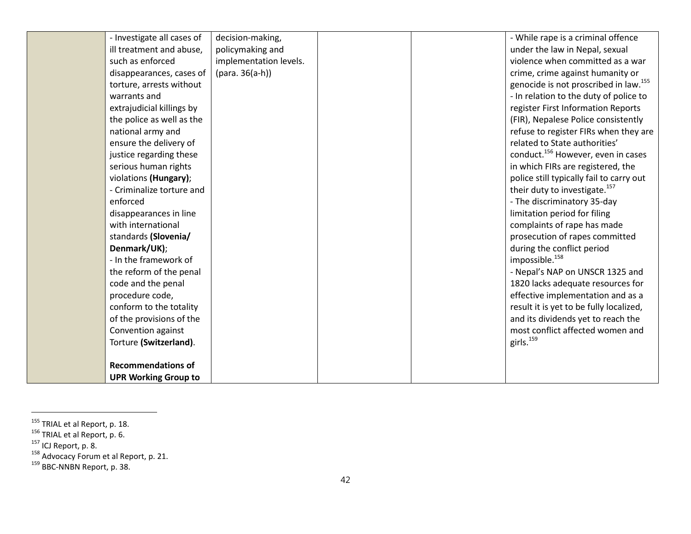| - Investigate all cases of  | decision-making,       |  | - While rape is a criminal offence                |
|-----------------------------|------------------------|--|---------------------------------------------------|
| ill treatment and abuse,    | policymaking and       |  | under the law in Nepal, sexual                    |
| such as enforced            | implementation levels. |  | violence when committed as a war                  |
| disappearances, cases of    | $(para. 36(a-h))$      |  | crime, crime against humanity or                  |
| torture, arrests without    |                        |  | genocide is not proscribed in law. <sup>155</sup> |
| warrants and                |                        |  | - In relation to the duty of police to            |
| extrajudicial killings by   |                        |  | register First Information Reports                |
| the police as well as the   |                        |  | (FIR), Nepalese Police consistently               |
| national army and           |                        |  | refuse to register FIRs when they are             |
| ensure the delivery of      |                        |  | related to State authorities'                     |
| justice regarding these     |                        |  | conduct. <sup>156</sup> However, even in cases    |
| serious human rights        |                        |  | in which FIRs are registered, the                 |
| violations (Hungary);       |                        |  | police still typically fail to carry out          |
| - Criminalize torture and   |                        |  | their duty to investigate. <sup>157</sup>         |
| enforced                    |                        |  | - The discriminatory 35-day                       |
| disappearances in line      |                        |  | limitation period for filing                      |
| with international          |                        |  | complaints of rape has made                       |
| standards (Slovenia/        |                        |  | prosecution of rapes committed                    |
| Denmark/UK);                |                        |  | during the conflict period                        |
| - In the framework of       |                        |  | impossible. <sup>158</sup>                        |
| the reform of the penal     |                        |  | - Nepal's NAP on UNSCR 1325 and                   |
| code and the penal          |                        |  | 1820 lacks adequate resources for                 |
| procedure code,             |                        |  | effective implementation and as a                 |
| conform to the totality     |                        |  | result it is yet to be fully localized,           |
| of the provisions of the    |                        |  | and its dividends yet to reach the                |
| Convention against          |                        |  | most conflict affected women and                  |
| Torture (Switzerland).      |                        |  | girls. <sup>159</sup>                             |
|                             |                        |  |                                                   |
| <b>Recommendations of</b>   |                        |  |                                                   |
| <b>UPR Working Group to</b> |                        |  |                                                   |

<sup>&</sup>lt;sup>155</sup> TRIAL et al Report, p. 18.<br><sup>156</sup> TRIAL et al Report, p. 6.<br><sup>157</sup> ICJ Report, p. 8.<br><sup>158</sup> Advocacy Forum et al Report, p. 21.<br><sup>159</sup> BBC-NNBN Report, p. 38.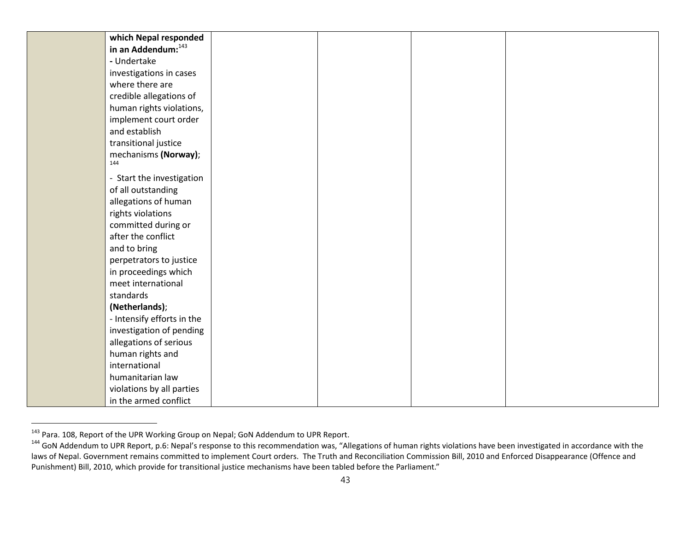| which Nepal responded      |  |  |
|----------------------------|--|--|
| in an Addendum: 143        |  |  |
| - Undertake                |  |  |
| investigations in cases    |  |  |
| where there are            |  |  |
| credible allegations of    |  |  |
| human rights violations,   |  |  |
| implement court order      |  |  |
| and establish              |  |  |
| transitional justice       |  |  |
| mechanisms (Norway);       |  |  |
| 144                        |  |  |
| - Start the investigation  |  |  |
| of all outstanding         |  |  |
| allegations of human       |  |  |
| rights violations          |  |  |
| committed during or        |  |  |
| after the conflict         |  |  |
| and to bring               |  |  |
| perpetrators to justice    |  |  |
| in proceedings which       |  |  |
| meet international         |  |  |
| standards                  |  |  |
| (Netherlands);             |  |  |
| - Intensify efforts in the |  |  |
| investigation of pending   |  |  |
| allegations of serious     |  |  |
| human rights and           |  |  |
| international              |  |  |
| humanitarian law           |  |  |
| violations by all parties  |  |  |
| in the armed conflict      |  |  |

<sup>&</sup>lt;sup>143</sup> Para. 108, Report of the UPR Working Group on Nepal; GoN Addendum to UPR Report.<br><sup>144</sup> GoN Addendum to UPR Report, p.6: Nepal's response to this recommendation was, "Allegations of human rights violations have been i laws of Nepal. Government remains committed to implement Court orders. The Truth and Reconciliation Commission Bill, 2010 and Enforced Disappearance (Offence and Punishment) Bill, 2010, which provide for transitional justice mechanisms have been tabled before the Parliament."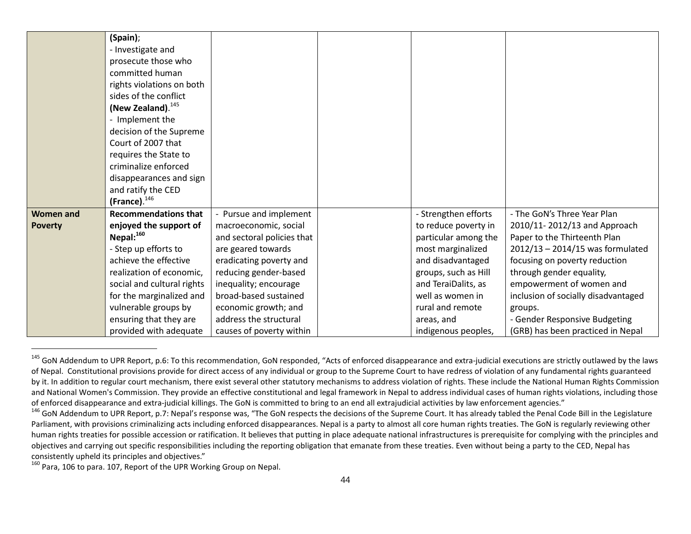|                  | (Spain);                    |                            |                      |                                     |
|------------------|-----------------------------|----------------------------|----------------------|-------------------------------------|
|                  | - Investigate and           |                            |                      |                                     |
|                  | prosecute those who         |                            |                      |                                     |
|                  | committed human             |                            |                      |                                     |
|                  | rights violations on both   |                            |                      |                                     |
|                  | sides of the conflict       |                            |                      |                                     |
|                  | (New Zealand). $^{145}$     |                            |                      |                                     |
|                  | - Implement the             |                            |                      |                                     |
|                  | decision of the Supreme     |                            |                      |                                     |
|                  | Court of 2007 that          |                            |                      |                                     |
|                  | requires the State to       |                            |                      |                                     |
|                  | criminalize enforced        |                            |                      |                                     |
|                  | disappearances and sign     |                            |                      |                                     |
|                  | and ratify the CED          |                            |                      |                                     |
|                  | (France). $146$             |                            |                      |                                     |
| <b>Women and</b> | <b>Recommendations that</b> | - Pursue and implement     | - Strengthen efforts | - The GoN's Three Year Plan         |
| <b>Poverty</b>   | enjoyed the support of      | macroeconomic, social      | to reduce poverty in | 2010/11-2012/13 and Approach        |
|                  | Nepal: $^{160}$             | and sectoral policies that | particular among the | Paper to the Thirteenth Plan        |
|                  | - Step up efforts to        | are geared towards         | most marginalized    | $2012/13 - 2014/15$ was formulated  |
|                  | achieve the effective       | eradicating poverty and    | and disadvantaged    | focusing on poverty reduction       |
|                  | realization of economic,    | reducing gender-based      | groups, such as Hill | through gender equality,            |
|                  | social and cultural rights  | inequality; encourage      | and TeraiDalits, as  | empowerment of women and            |
|                  | for the marginalized and    | broad-based sustained      | well as women in     | inclusion of socially disadvantaged |
|                  | vulnerable groups by        | economic growth; and       | rural and remote     | groups.                             |
|                  | ensuring that they are      | address the structural     | areas, and           | - Gender Responsive Budgeting       |
|                  | provided with adequate      | causes of poverty within   | indigenous peoples,  | (GRB) has been practiced in Nepal   |

<sup>&</sup>lt;sup>145</sup> GoN Addendum to UPR Report, p.6: To this recommendation, GoN responded, "Acts of enforced disappearance and extra-judicial executions are strictly outlawed by the laws of Nepal. Constitutional provisions provide for direct access of any individual or group to the Supreme Court to have redress of violation of any fundamental rights guaranteed by it. In addition to regular court mechanism, there exist several other statutory mechanisms to address violation of rights. These include the National Human Rights Commission and National Women's Commission. They provide an effective constitutional and legal framework in Nepal to address individual cases of human rights violations, including those of enforced disappearance and extra-judicial ki

<sup>160</sup> Para, 106 to para. 107, Report of the UPR Working Group on Nepal.

<sup>&</sup>lt;sup>146</sup> GoN Addendum to UPR Report, p.7: Nepal's response was, "The GoN respects the decisions of the Supreme Court. It has already tabled the Penal Code Bill in the Legislature Parliament, with provisions criminalizing acts including enforced disappearances. Nepal is a party to almost all core human rights treaties. The GoN is regularly reviewing other human rights treaties for possible accession or ratification. It believes that putting in place adequate national infrastructures is prerequisite for complying with the principles and objectives and carrying out specific responsibilities including the reporting obligation that emanate from these treaties. Even without being a party to the CED, Nepal has consistently upheld its principles and objectives."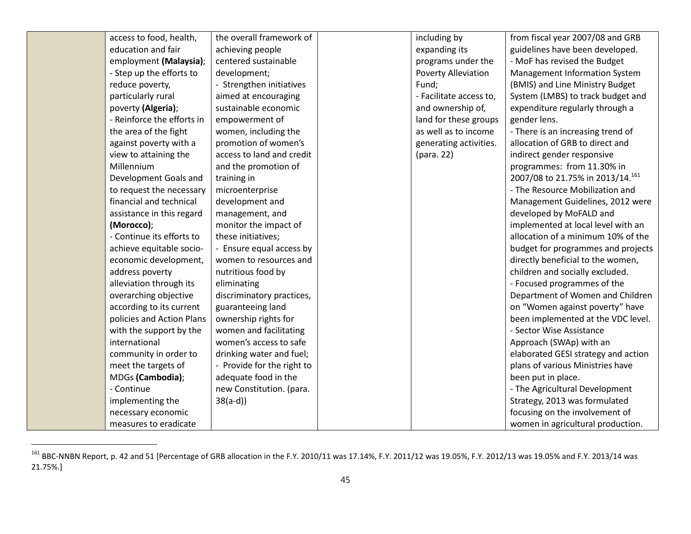| access to food, health,    | the overall framework of   | including by               | from fiscal year 2007/08 and GRB    |
|----------------------------|----------------------------|----------------------------|-------------------------------------|
| education and fair         | achieving people           | expanding its              | guidelines have been developed.     |
| employment (Malaysia);     | centered sustainable       | programs under the         | - MoF has revised the Budget        |
| - Step up the efforts to   | development;               | <b>Poverty Alleviation</b> | Management Information System       |
| reduce poverty,            | - Strengthen initiatives   | Fund;                      | (BMIS) and Line Ministry Budget     |
| particularly rural         | aimed at encouraging       | - Facilitate access to,    | System (LMBS) to track budget and   |
| poverty (Algeria);         | sustainable economic       | and ownership of,          | expenditure regularly through a     |
| - Reinforce the efforts in | empowerment of             | land for these groups      | gender lens.                        |
| the area of the fight      | women, including the       | as well as to income       | - There is an increasing trend of   |
| against poverty with a     | promotion of women's       | generating activities.     | allocation of GRB to direct and     |
| view to attaining the      | access to land and credit  | (para. 22)                 | indirect gender responsive          |
| Millennium                 | and the promotion of       |                            | programmes: from 11.30% in          |
| Development Goals and      | training in                |                            | 2007/08 to 21.75% in 2013/14.161    |
| to request the necessary   | microenterprise            |                            | - The Resource Mobilization and     |
| financial and technical    | development and            |                            | Management Guidelines, 2012 were    |
| assistance in this regard  | management, and            |                            | developed by MoFALD and             |
| (Morocco);                 | monitor the impact of      |                            | implemented at local level with an  |
| - Continue its efforts to  | these initiatives;         |                            | allocation of a minimum 10% of the  |
| achieve equitable socio-   | - Ensure equal access by   |                            | budget for programmes and projects  |
| economic development,      | women to resources and     |                            | directly beneficial to the women,   |
| address poverty            | nutritious food by         |                            | children and socially excluded.     |
| alleviation through its    | eliminating                |                            | - Focused programmes of the         |
| overarching objective      | discriminatory practices,  |                            | Department of Women and Children    |
| according to its current   | guaranteeing land          |                            | on "Women against poverty" have     |
| policies and Action Plans  | ownership rights for       |                            | been implemented at the VDC level.  |
| with the support by the    | women and facilitating     |                            | - Sector Wise Assistance            |
| international              | women's access to safe     |                            | Approach (SWAp) with an             |
| community in order to      | drinking water and fuel;   |                            | elaborated GESI strategy and action |
| meet the targets of        | - Provide for the right to |                            | plans of various Ministries have    |
| MDGs (Cambodia);           | adequate food in the       |                            | been put in place.                  |
| - Continue                 | new Constitution. (para.   |                            | - The Agricultural Development      |
| implementing the           | $38(a-d)$                  |                            | Strategy, 2013 was formulated       |
| necessary economic         |                            |                            | focusing on the involvement of      |
| measures to eradicate      |                            |                            | women in agricultural production.   |

 $^{161}$  BBC-NNBN Report, p. 42 and 51 [Percentage of GRB allocation in the F.Y. 2010/11 was 17.14%, F.Y. 2011/12 was 19.05%, F.Y. 2012/13 was 19.05% and F.Y. 2013/14 was 21.75%.]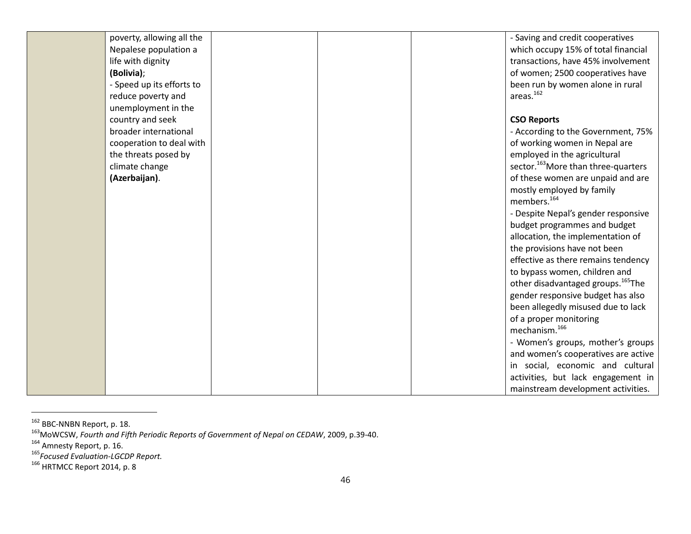| poverty, allowing all the |  | - Saving and credit cooperatives                |
|---------------------------|--|-------------------------------------------------|
| Nepalese population a     |  | which occupy 15% of total financial             |
| life with dignity         |  | transactions, have 45% involvement              |
| (Bolivia);                |  | of women; 2500 cooperatives have                |
| - Speed up its efforts to |  | been run by women alone in rural                |
| reduce poverty and        |  | areas. <sup>162</sup>                           |
| unemployment in the       |  |                                                 |
| country and seek          |  | <b>CSO Reports</b>                              |
| broader international     |  | - According to the Government, 75%              |
| cooperation to deal with  |  | of working women in Nepal are                   |
| the threats posed by      |  | employed in the agricultural                    |
| climate change            |  | sector. <sup>163</sup> More than three-quarters |
| (Azerbaijan).             |  | of these women are unpaid and are               |
|                           |  | mostly employed by family                       |
|                           |  | members. <sup>164</sup>                         |
|                           |  | - Despite Nepal's gender responsive             |
|                           |  | budget programmes and budget                    |
|                           |  | allocation, the implementation of               |
|                           |  | the provisions have not been                    |
|                           |  | effective as there remains tendency             |
|                           |  | to bypass women, children and                   |
|                           |  | other disadvantaged groups. <sup>165</sup> The  |
|                           |  | gender responsive budget has also               |
|                           |  | been allegedly misused due to lack              |
|                           |  | of a proper monitoring                          |
|                           |  | mechanism. <sup>166</sup>                       |
|                           |  | - Women's groups, mother's groups               |
|                           |  | and women's cooperatives are active             |
|                           |  | in social, economic and cultural                |
|                           |  | activities, but lack engagement in              |
|                           |  | mainstream development activities.              |

<sup>&</sup>lt;sup>162</sup> BBC-NNBN Report, p. 18.<br><sup>163</sup>MoWCSW, *Fourth and Fifth Periodic Reports of Government of Nepal on CEDAW,* 2009, p.39-40.<br><sup>164</sup> Amnesty Report, p. 16.<br><sup>165</sup> Focused Evaluation-LGCDP Report.<br><sup>165</sup> HRTMCC Report 2014, p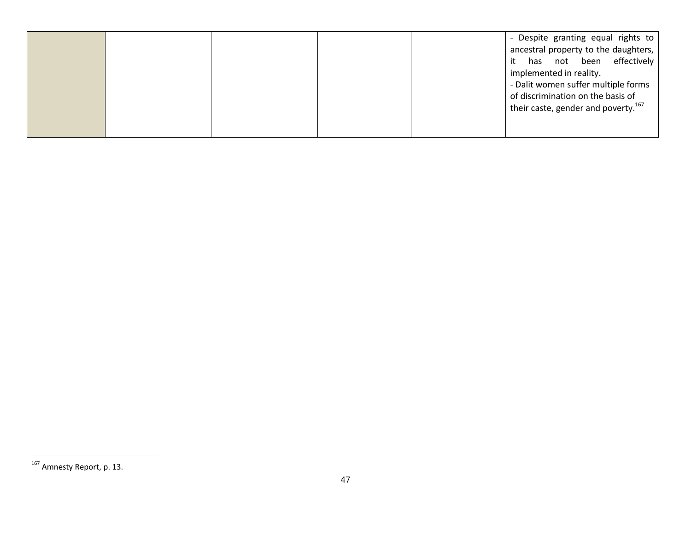| ancestral property to the daughters,<br>it has not been effectively<br>implemented in reality.<br>- Dalit women suffer multiple forms<br>of discrimination on the basis of<br>their caste, gender and poverty. <sup>167</sup> |
|-------------------------------------------------------------------------------------------------------------------------------------------------------------------------------------------------------------------------------|
|-------------------------------------------------------------------------------------------------------------------------------------------------------------------------------------------------------------------------------|

 $\overline{a}$ 

<sup>&</sup>lt;sup>167</sup> Amnesty Report, p. 13.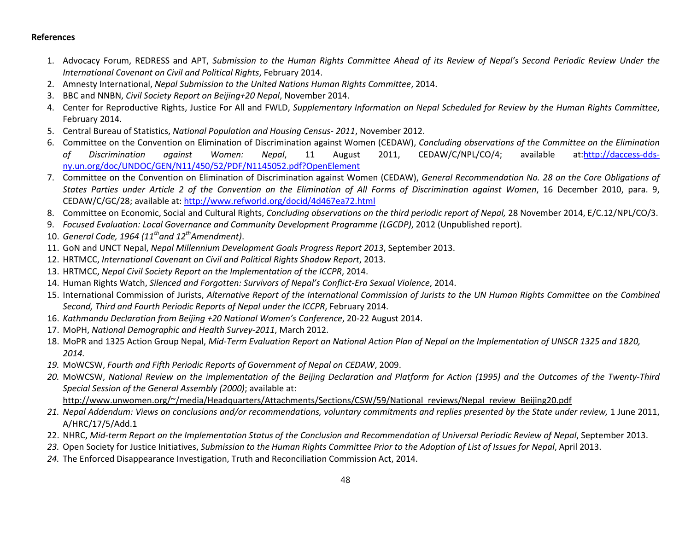## **References**

- 1. Advocacy Forum, REDRESS and APT, *Submission to the Human Rights Committee Ahead of its Review of Nepal's Second Periodic Review Under the International Covenant on Civil and Political Rights*, February 2014.
- 2. Amnesty International, *Nepal Submission to the United Nations Human Rights Committee*, 2014.
- 3. BBC and NNBN, *Civil Society Report on Beijing+20 Nepal*, November 2014.
- 4. Center for Reproductive Rights, Justice For All and FWLD, *Supplementary Information on Nepal Scheduled for Review by the Human Rights Committee*, February 2014.
- 5. Central Bureau of Statistics, *National Population and Housing Census- 2011*, November 2012.
- 6. Committee on the Convention on Elimination of Discrimination against Women (CEDAW), *Concluding observations of the Committee on the Elimination of Discrimination against Women: Nepal*, 11 August 2011, CEDAW/C/NPL/CO/4; available at:http://daccess-ddsny.un.org/doc/UNDOC/GEN/N11/450/52/PDF/N1145052.pdf?OpenElement
- 7. Committee on the Convention on Elimination of Discrimination against Women (CEDAW), *General Recommendation No. 28 on the Core Obligations of States Parties under Article 2 of the Convention on the Elimination of All Forms of Discrimination against Women*, 16 December 2010, para. 9, CEDAW/C/GC/28; available at: http://www.refworld.org/docid/4d467ea72.html
- 8. Committee on Economic, Social and Cultural Rights, *Concluding observations on the third periodic report of Nepal,* 28 November 2014, E/C.12/NPL/CO/3.
- 9. *Focused Evaluation: Local Governance and Community Development Programme (LGCDP)*, 2012 (Unpublished report).
- 10. *General Code, 1964 (11thand 12thAmendment)*.
- 11. GoN and UNCT Nepal, *Nepal Millennium Development Goals Progress Report 2013*, September 2013.
- 12. HRTMCC, *International Covenant on Civil and Political Rights Shadow Report*, 2013.
- 13. HRTMCC, *Nepal Civil Society Report on the Implementation of the ICCPR*, 2014.
- 14. Human Rights Watch, *Silenced and Forgotten: Survivors of Nepal's Conflict-Era Sexual Violence*, 2014.
- 15. International Commission of Jurists, *Alternative Report of the International Commission of Jurists to the UN Human Rights Committee on the Combined Second, Third and Fourth Periodic Reports of Nepal under the ICCPR*, February 2014.
- 16. *Kathmandu Declaration from Beijing +20 National Women's Conference*, 20-22 August 2014.
- 17. MoPH, *National Demographic and Health Survey-2011*, March 2012.
- 18. MoPR and 1325 Action Group Nepal, *Mid-Term Evaluation Report on National Action Plan of Nepal on the Implementation of UNSCR 1325 and 1820, 2014.*
- *19.* MoWCSW, *Fourth and Fifth Periodic Reports of Government of Nepal on CEDAW*, 2009.
- *20.* MoWCSW, *National Review on the implementation of the Beijing Declaration and Platform for Action (1995) and the Outcomes of the Twenty-Third Special Session of the General Assembly (2000)*; available at: http://www.unwomen.org/~/media/Headquarters/Attachments/Sections/CSW/59/National\_reviews/Nepal\_review\_Beijing20.pdf
- *21. Nepal Addendum: Views on conclusions and/or recommendations, voluntary commitments and replies presented by the State under review,* 1 June 2011, A/HRC/17/5/Add.1
- 22. NHRC, *Mid-term Report on the Implementation Status of the Conclusion and Recommendation of Universal Periodic Review of Nepal*, September 2013.
- *23.* Open Society for Justice Initiatives, *Submission to the Human Rights Committee Prior to the Adoption of List of Issues for Nepal*, April 2013.
- *24.* The Enforced Disappearance Investigation, Truth and Reconciliation Commission Act, 2014.